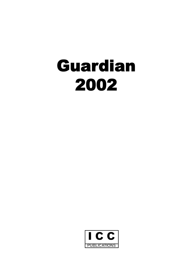# **Guardian 2002**

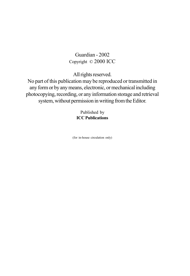# Guardian - 2002 Copyright © 2000 ICC

All rights reserved.

No part of this publication may be reproduced or transmitted in any form or by any means, electronic, or mechanical including photocopying, recording, or any information storage and retrieval system, without permission in writing from the Editor.

> Published by **ICC Publications**

(for in-house circulation only)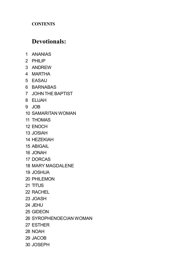# **CONTENTS**

# **Devotionals:**

- ANANIAS
- PHILIP
- ANDREW
- MARTHA
- EASAU
- BARNABAS
- JOHN THE BAPTIST
- ELIJAH
- JOB
- SAMARITAN WOMAN
- THOMAS
- ENOCH
- JOSIAH
- HEZEKIAH
- ABIGAIL
- JONAH
- DORCAS
- MARY MAGDALENE
- JOSHUA
- PHILEMON
- TITUS
- RACHEL
- JOASH
- JEHU
- GIDEON
- SYROPHENOECIAN WOMAN
- ESTHER
- NOAH
- JACOB
- JOSEPH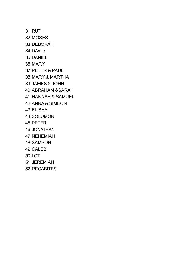RUTH MOSES DEBORAH DAVID DANIEL MARY PETER & PAUL MARY & MARTHA JAMES & JOHN ABRAHAM &SARAH HANNAH & SAMUEL ANNA & SIMEON ELISHA SOLOMON PETER JONATHAN NEHEMIAH SAMSON CALEB LOT JEREMIAH RECABITES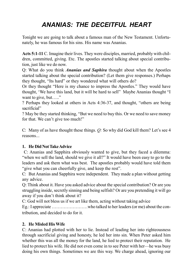# *ANANIAS: THE DECEITFUL HEART*

Tonight we are going to talk about a famous man of the New Testament. Unfortunately, he was famous for his sins. His name was Ananias.

**Acts 5:1-11** C. Imagine their lives. They were disciples, married, probably with children, committed, giving. Etc. The apostles started talking about special contribution, just like we do now.

Q: What do you think *Ananias and Saphira* thought about when the Apostles started talking about the special contribution? (Let them give responses.) Perhaps they thought, "Its hard" or they wondered what will others do?

Or they thought "Here is my chance to impress the Apostles." They would have thought, 'We have this land, but it will be hard to sell" Maybe Ananias thought "I want to give, but….."

? Perhaps they looked at others in Acts 4:36-37, and thought, "others are being sacrificial"

? May be they started thinking, "But we need to buy this. Or we need to save money for that. We can't give too much!"

C: Many of as have thought these things. *Q:* So why did God kill them? Let's see 4 reasons...

# **1. He Did Not Take Advice**

C: Ananias and Sapphira obviously wanted to give, but they faced a dilemma: "when we sell the land, should we give it all?" It would have been easy to go to the leaders and ask them what was best. The apostles probably would have told them "give what you can cheerfully give, and keep the rest".

C: But Ananias and Sapphira were independent. They made a plan without getting any advice.

Q: Think about it. Have you asked advice about the special contribution? Or are you struggling inside, secretly sinning and being selfish? Or are you pretending it will go away if you don't think about it?

C: God will not bless us if we art like them, acting without taking advice

Eg.: I appreciate ……………………who talked to her leaders (or me) about the contribution, and decided to do for it.

# **2. He Misled His Wife**

C: Ananias had plotted with her to lie. Instead of leading her into righteousness through sacrificial giving and honesty, he led her into sin. When Peter asked him whether this was all the money for the land, he lied to protect their reputation. He lied to protect his wife. He did not even come in to see Peter with her—he was busy doing his own things. Sometimes we are this way. We charge ahead, ignoring our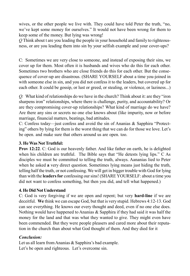wives, or the other people we live with. They could have told Peter the truth, "no, we've kept some money for ourselves." It would not have been wrong for them to keep some of the money. But lying was wrong!

*Q* Think about t are you leading the people in your household and family to righteousness, or are you leading them into sin by your selfish example and your cover-ups?

C: Sometimes we are very close to someone, and instead of exposing their sins, we cover up for them. Most often it is husbands and wives who do this for each other. Sometimes two brothers who are close friends do this for each other. But the consequence of cover-up are disastrous. (SHARE YOURSELF about a time you-joined in with someone else in sin, and you did not confess it to the leaders, but covered up for each other. It could be gossip, or lust or greed, or stealing, or violence, or laziness...)

*Q:* What kind of relationships do we have in the church? Think about it: are they "iron sharpens iron" relationships, where there is challenge, purity, and accountability? Or are they compromising cover-up relationships? What kind of marriage do we have? Are there any sins or secrets no one else knows about (like impurity, now or before marriage, financial matters, beatings, bad attitudes.

C: Confess today—just confess and avoid the sin of Ananias & Sapphira "Protecting" others by lying for them is the worst thing that we can do for those we love. Let's be open. and make sure that others around us are open. too.

#### **3. He Was Not Truthful:**

**Prov 12:22**. C: God is our heavenly father. And like father on earth, he is delighted when his children are truthful. The Bible says that "He detests lying lips." C As disciples we must be committed to telling the truth, always. Aananias lied to Peter when he asked **a** very direct question. Sometimes lying means just hiding the truth, telling half the truth, or not confessing. We will get in bigger trouble with God for lying than with the **leaders for** confessing our sins! (SHARE YOURSELF: about a time you did not want to confess something, but then you did, and tell what happened.)

# **4. He Did Not Understand**

C: God is very forgiving if we are open and repent; but very **hard-line** if we are deceitful. **We** think we can escape God, but that is very stupid. Hebrews 4:12-13. God can see everything. He knows our every thought and deed, even if no one else does. Nothing would have happened to Ananias  $\&$  Sapphira if they had said it was half the money for the land and that was what they wanted to give. They might even have been commended. But they were people pleasers and cared more about their reputation in the church than about what God thought of them. And they died for it

#### *Conclusion:*

Let us all learn from Ananias & Sapphira's bad example. Let's be open and righteous. Let's overcome sin.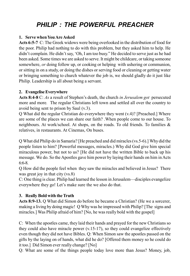# *PHILIP : THE POWERFUL PREACHER*

#### **1. Serve when You Are Asked**

**Acts 6:5-7** C: The Greek widows were being overlooked in the distribution of food for the poor. Philip had nothing to do with this problem, but they asked him to help. He didn't complain. He didn't say, 'Oh, I am too busy." He decided to serve just as he had been asked. Some times we are asked to serve. It might be childcare, or taking someone somewhere, *or* doing follow up, or cooking or helping with ushering or communion, or sitting in on a study, or doing the dishes or serving food or cleaning or getting water or bringing something to church whatever the job is, we should gladly do it just like Philip. Leadership is all about being a servant.

#### **2. Evangelise Everywhere**

**Acts 8:4-8** C: *As* a result of Stephen's death, the church *in Jerusalem got* persecuted more and more*.* The regular Christians left town and settled all over the country to avoid being sent to prison by Saul (v.3).

 $\overline{Q}$  What did the regular Christian do everywhere they went  $(v, 4)$ ? [Preached.] Where are some of the places we can share our faith? .When people come to our house. To neighbours. At work/school. At shops, on the roads. To old friends. To families & relatives, in restaurants. At Cinemas, On buses.

Q What did Philip do in Samaria? [He preached and did miracles (vs.5-6).] Why did the people listen to him? [Powerful messages, miracles.) Why did God give him special miraculous power, but not to us? [He did not have the written Bible to back up his message. We do. So the Apostles gave him power by laying their hands on him in Acts 6:6-8.

Q How did the people feel when they saw the miracles and believed in Jesus? There was great joy in that city (vs.8)

C: One thing is clear. Philip had learned the lesson in Jerusalem—disciples evangelize everywhere they go! Let's make sure the we also do that.

# **3. Really Bold with the Truth**

**Acts 8:9-13.** Q What did Simon do before he became a Christian? (He we a sorcerer, making a living by doing magic! Q Why was he impressed with Philip? [The signs and miracles.] Was Philip afraid of him? [No, he was really bold with the gospel]

C: When the apostles came, they laid their hands and prayed for the new Christians so they could also have miracle power (v.15-17), so they could evangelize effectively even though they did not have Bibles. Q: When Simon saw the apostles passed on the gifts by the laying on of hands, what did he do? [Offered them money so he could do it too.] Did Simon ever really change? [No]

Q: What are some of the things people today love more than Jesus? Money, job,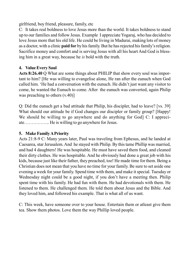girlfriend, boy friend, pleasure, family, etc

C: It takes real boldness to love Jesus more than the world. It takes boldness to stand up to our families and follow Jesus. Example I appreciate Yogaraj, who has decided to love Jesus more that his old life. He could be living in Madurai, making lots of money as a doctor, with a clinic **paid for** by his family. But he has rejected his family's religion. Sacrifice money and comfort and is serving Jesus with all his heart And God is blessing him in a great way, because he *is* bold with the truth.

#### **4. Value Every Saul**

**Acts 8:26.40** Q What are some things about PHILIP that show every soul was important to him? [He was willing to evangelise alone, He ran after the eunuch when God called him. 'He had a conversation with the eunuch. He didn't just want any visitor to come, he wanted the Eunuch to come. After the eunuch was converted, again Philip was preaching to others (v.40)]

Q: Did the eunuch get a bad attitude that Philip, his discipler, had to leave? [vs. 39] What should our attitude be if God changes our discipler or family group? [Happy! We should be willing to go anywhere and do anything for God] C: I appreciate…………….. He is willing to go anywhere for Jesus.

#### **5. Make Family A Priority**

Acts 21:8-9 C: Many years later, Paul was traveling from Ephesus, and he landed at Caesarea, star Jerusalem. And he stayed with Philip. By this tame Phillip was married, and had 4 daughters! He was hospitable. He must have saved them food, and cleaned their dirty clothes. He was hospitable. And he obviously had done a great job with his kids, because just like their father, they preached, too! He made time for them. Being a Christian does not mean that you have no time for your family. Be sure to set aside one evening a week for your family. Spend time with them, and make it special. Tuesday or Wednesday night could be a good night, if you don't have a meeting then. Philip spent time with his family. He had fun with them. He had devotionals with them. He listened to them. He challenged them. He told them about Jesus and the Bible. And they loved him, and followed his example. That is what all of us want.

C: This week, have someone over to your house. Entertain them or atleast give them tea. Show them photos. Love them the way Phillip loved people.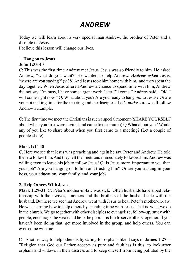# *ANDREW*

Today we will learn about a very special man Andrew, the brother of Peter and a disciple of Jesus.

I believe this lesson will change our lives.

#### **1. Hang on to Jesus John 1:35-40**

C: This was the first time Andrew met Jesus. Jesus was so friendly to him. He asked Andrew, "what do you want?' He wanted to help Andrew. *Andrew asked* Jesus, 'where are you staying?' (v.38) And Jesus took him home with him. and they spent the day together. When Jesus offered Andrew a chance to spend time with him, Andrew did not say, I'm busy, I have some urgent work, later I'll come." Andrew said, "OK, I will come right now." Q. What about you? Are you ready to hang *out* to Jesus? Or are you not making time for the meeting and the disciples? Let's *make* sure we all follow Andrew's example.

C: The first time we meet the Christians is such a special moment (SHARE YOURSELF about when you first were invited and came to the church) Q What about you? Would any of you like to share about when you first came to a meeting? (Let a couple of people share)

# **Mark 1:14-I8**

C. Here we see that Jesus was preaching and again he saw Peter and Andrew. He told them to follow him. And they left their nets and immediately followed him. Andrew was willing even to leave his job to follow Jesus! Q: Is Jesus more important to you than your job? Are you hanging on to him and trusting him? Or are you trusting in your boss, your education, your family, and your job?

# **2. Help Others With Jesus.**

**Mark 1:29-31**. C: Peter's mother-in-law was sick. Often husbands have a bed relationship with their wives, mothers and the brothers of the husband side with the husband. But here we see that Andrew went with Jesus to heal Peter's mother-in-law. He was learning how to help others by spending time with Jesus. That is what we do in the church. We go together with other disciples to evangelize, follow-up, study with people, encourage the weak and help the poor. It is fun to serve others together. If you haven't been doing that; get more involved in the group, and help others. You can even come with me.

C: Another way to help others is by caring for orphans like it says in **James 1:27**— "Religion that God our Father accepts as pure and faultless is this: to look after orphans and widows in their distress and to keep oneself from being polluted by the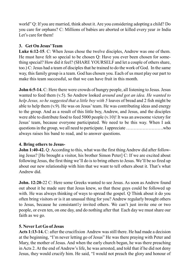world" Q: If you are married, think about it. Are you considering adopting a child? Do you care for orphans? C: Millions of babies are aborted or killed every year *in* India Let's care for them!

### **3. Get On Jesus' Team**

**Luke 6:12-15**. C: When Jesus chose the twelve disciples, Andrew was one of them. He must have felt so special to be chosen Q: Have you ever been chosen for something special? How did it feel? (SHARE YOURSELF and let a couple of others share, too.) C: Jesus had a team of disciples that he trained to do the work of God. In the same way, this family group is a team. God has chosen you. Each of us must play our part to make this team successful, so that we can have fruit in this month.

**John 6:5-14.** C: Here there were crowds of hungry people, all listening to Jesus. Jesus wanted to feed them (v.5). So Andrew looked *around and got an idea. He wanted to help Jesus, so he suggested that a little boy with 5* loaves of bread and 2 fish might be able to help them (v.9). He was on Jesus' team. He was contributing ideas and energy to the group. And as a result of this little boy, Andrew, and Jesus, and the disciples were able to distribute food to feed 5000 people (v.10)! It was an awesome victory for Jesus' team, because everyone participated. We need to be this way. When I ask questions in the group, we all need to participate. I appreciate …………………….who always raises his band to read, and to answer questions.

#### **4. Bring others to Jesus-**

**John 1:40-42.** Q: According to this, what was the first thing Andrew did after following Jesus? [He brought a visitor, his brother Simon Peter] C: If we are excited about following Jesus, the first thing we'll do is to bring others to Jesus. We'll be so fired up about our new relationship with him that we want to tell others about it. That's what Andrew did.

**John. 12:20-**22 C: Here some Greeks wanted to see Jesus. As soon as Andrew found out about it he made sure that Jesus knew, so that these guys could be followed up with. He was always thinking of ways to spread the gospel. Q Think about it do you often bring visitors or is it an unusual thing for you? Andrew regularly brought others to Jesus, because he consistantly invited others. We can't just invite one or two people, or even ten, on one day, and do nothing after that Each day we must share our faith as we go.

#### **5. Never Let Go of Jesus**

**Acts 1:13-14.** C: after the crucifixion Andrew was still there. He had made a decision at the beginning, "I'm never letting go of Jesus" He was there praying with Peter and Mary, the mother of Jesus. And when the early church began, he was there preaching in Acts 2. At the end of Andrew's life, he was arrested, and told that if he did not deny Jesus, they would crucify him. He said, "I would not preach the glory and honour of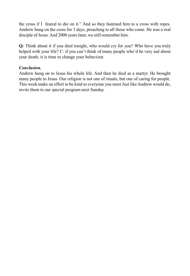the cross if I feared to die on it." And so they fastened him to a cross with ropes. Andrew hung on the cross for 3 days, preaching to all those who came. He was a real disciple of Jesus. And 2000 years later, we still remember him.

**Q:** Think about it if you died tonight, who would cry for you? Who have you truly helped with your life? C: if you can't think of many people who'd be very sad about your death, it is time to change your behaviour.

#### *Conclusion.*

Andrew hung on to Jesus his whole life. And then he died as a martyr. He brought many people to Jesus. Our religion is not one of rituals, but one of caring for people. This week make an effort to be kind to everyone you meet Just like Andrew would do, invite them to our special program next Sunday.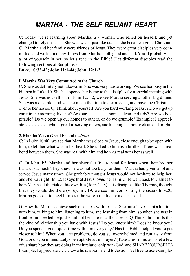# *MARTHA - THE SELF RELIANT HEART*

C: Today, we're learning about Martha,  $a \sim$  woman who relied on herself; and yet changed to rely on Jesus. She was weak, just like us, but she became a great Christian. C: Martha and her family were friends of Jesus. They were great disciples very committed, and we learn many things from Martha, both good and bad. You'll probably see a lot of yourself in her, so let's read in the Bible! (Let different disciples read the following sections of Scripture.)

#### **Luke. 10:33-42; John 11:1-44; John. 12:1-2.**

#### **I. Martha Was Very Committed to the Church**

C: She was definitely not lukewarm. She was very hardworking. We see her busy in the kitchen in Luke 10. She had opened her home to the disciples for a special meeting with Jesus. She was not selfish, in John 12:1-2, we see Martha serving another big dinner. She was a disciple, and yet she made the time to clean, cock, and have the Christians over to her house. Q: Think about yourself. Are you hard working or lazy? Do we get up early in the morning like her? Are our homes clean and tidy? Are we hospitable? Do we open up our homes to others, or do we grumble? Example: I appreciate……………. who is great in serving others, and keeping her house clean and bright..

#### **2. Martha Was a Great Friend to** *Jesus*

C: In Luke 10:40, we **see** that Martha was close to Jesus, close enough to be open with him, to tell her what was in her heart. She talked to him as a brother. There was a real bond between them. She was real with him and he *was* real with her as well.

C: In John ll:3, Martha and her sister felt free to send for Jesus when their brother Lazarus was sick They knew he was not too busy for them. Martha had given a lot and served Jesus many times. She probably thought Jesus would not hesitate to help her, and she was right! In *v.5,* **it says that Jesus loved** her family. He went back to Galilee to help Martha at the risk of his own life (John 11:8). His disciples, like Thomas, thought that they would die there  $(v.16)$ . In v.19, we see him confronting the sisters In v.20, Martha goes out to meet him, as if he were a relative or a dear friend.

Q: How did Martha achieve such closeness with Jesus? [She must have spent a lot time with him, talking to him, listening to him, and learning from him, so when she was in trouble and needed help, she did not hesitate to call on Jesus. Q Think about it. Is this the kind of relationship you have with Jesus? Do you know him? Does he know you? Do you spend a good quiet time with him every day? Has the Bible helped you to get closer to him? When you face problems, do you get overwhelmed and run away from God, or do you immediately open upto Jesus in prayer? (Take a few minutes to let a few of us share how they are doing in their relationship with God, and SHARE YOURSELF.) Example: I appreciate .........~ who is a real friend to Jesus. (Feel free to use examples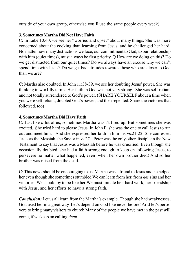outside of your own group, otherwise you'll use the same people every week)

### **3. Sometimes Martha Did Not Have Faith**

C: In Luke 10:40, we see her "worried and upset" about many things. She was more concerned about the cooking than learning from Jesus, and he challenged her hard. No matter how many distractions we face, our commitment to God, to our relationship with him (quiet times), must always be first priority. Q How are we doing on this? Do we get distracted from our quiet times? Do we always have an excuse why we can't spend time with Jesus? Do we get bad attitudes towards those who are closer to God than we are?

C: Martha also doubted. In John 11:38-39, we see her doubting Jesus' power. She was thinking in wor1dly terms. Her faith in God was not very strong. She was self-reliant and not totally surrendered to God's power. (SHARE YOURSELF about a time when you were self reliant, doubted God's power, and then repented. Share the victories that followed, too)

#### **4. Sometimes Martha Did Have Faith**

C: Just like *a* lot of us, sometimes Martha wasn't fired up. But sometimes she was excited. She tried hard to please Jesus. In John ll, she was the one to call Jesus to run out and meet him. And she expressed her faith in him ins vs.21-22. She confessed Jesus as the Messiah, the Savior in vs 27. Peter was the only other disciple in the New Testament to say that Jesus was a Messiah before he was crucified. Even though she occasionally doubted, she had a faith strong enough to keep on following Jesus, to persevere no matter what happened, even when her own brother died! And so her brother was raised from the dead.

C: This news should be encouraging to us. Martha was a friend to Jesus and he helped her even though she sometimes stumbled We can learn from her, from *her*sins and her victories. We should by to be like her We must imitate her hard work, her friendship with Jesus, and her efforts to have a strong faith.

*Conclusion:* Let us all learn from the Martha's example. Though she had weaknesses, God used her in a great way. Let's depend on God like never before! Arid let's persevere to bring many visitors to church Many of the people we have met in the past will come, if we keep on calling *them.*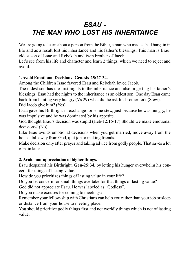# *ESAU - THE MAN WHO LOST HIS INHERITANCE*

We are going to learn about a person from the Bible, a man who made a bad bargain in life and as a result lost his inheritance and his father's blessings. This man is Esau, eldest son of Issac and Rebekah and twin brother of Jacob.

Let's see from his life and character and learn 2 things, which we need to reject and avoid.

#### **1.Avoid Emotional Decisions- Genesis-25:27-34.**

Among the Children Issac favored Esau and Rebekah loved Jacob.

The oldest son has the first nights to the inheritance and also in getting his father's blessings. Esau had the nights to the inheritance as an oldest son. One day Esau came back from hunting very hungry (Vs 29) what did he ask his brother for? (Stew). Did Jacob give him? (Yes)

Esau gave his Birthright in exchange for some stew, just because he was hungry, he was impulsive and he was dominated by his appetite.

God thought Esau's decision was stupid (Heb-12:16-17) Should we make emotional decisions? (No).

Like Esau avoids emotional decisions when you get married, move away from the house, fall away from God, quit job or making friends.

Make decision only after prayer and taking advice from godly people. That saves a lot of pain later.

# **2. Avoid non-appreciation of higher things.**

Esau despaired his Birthright. **Gen-25:34**, by letting his hunger overwhelm his concern for things of lasting value.

How do you prioritizes things of lasting value in your life?

Do you let concern for small things overtake for that things of lasting value?

God did not appreciate Esau. He was labeled as "Godless".

Do you make excuses for coming to meetings?

Remember your fellow-ship with Christians can help you rather than your job or sleep or distance from your house to meeting place.

You should prioritize godly things first and not worldly things which is not of lasting value.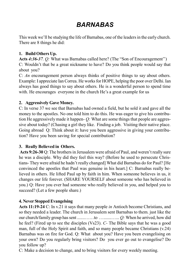# *BARNABAS*

This week we'll be studying the life of Barnabas, one of the leaders in the early church. There are 8 things he did:

# **1. Build Others Up.**

**Acts** *4:36-37. Q:* What was Barnabas called here? (The "Son of Encouragement'') C: Wouldn't that be a great nickname to have? Do you think people would say that about you?

C: *An* encouragement person always thinks of positive things to say about others. Example: I appreciate Ian Correa. He works for HOPE, helping the poor over Delhi. Ian always has good things to say about others. He is a wonderful person to spend time with. He encourages everyone in the church He's a great example for us

#### **2. Aggressively Gave Money.**

C: In verse 37 we see that Barnabas had owned a field, but he sold it and gave all the money to the apostles. No one told him to do this. He was eager to give his contribution He aggressively made it happen- *Q:* What are some things that people are aggressive about today? (Chasing a girl they like. Finding a job. Visiting their native place. Going abroad Q: Think about it: have you been aggressive in giving your contribution? Have you been saving for special contribution?

#### **3. Really Believed in Others.**

**Acts 9:26-30** Q: The brothers in Jerusalem were afraid of Paul, and weren't really sure he was a disciple. Why did they feel this way? (Before he used to persecute Christians- They were afraid he hadn't really changed] What did Barnabas do for Paul? [He convinced the apostles that Paul was genuine in his heart.] C: Barnabas really believed in others. He lifted Paul up by faith in him. When someone believes in us, it changes our life forever. (SHARE YOURSELF about someone who has believed in you.) Q: Have you ever had someone who really believed in you, and helped you to succeed? (Let a few people share.)

# **4. Never Stopped Evangelsing**

**Acts 11:19-24** C: In v.21 it says that many people *in* Antioch become Christians, and so they needed a leader. The church in Jerusalem sent Barnabas to them. just like the our church/family group has sent .......……to ….......…... *Q:* When he arrived, how did he feel? (Fired up to see the disciples (Vs23). *C-* The Bible says that he was a good man, full of the Holy Spirit and faith, and so many people became Christians (v.24) Barnabas was on fire for God. Q: What about you? Have you been evangelising on your own? Do you regularly bring visitors? Do you ever go out to evangelise? Do you follow up?

C: Make a decision to change, and to bring visitors for every weekly meeting.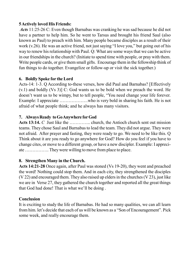#### **5 Actively loved His Friends:**

 *Acts* 11:25-26 C: Even though Barnabas was cranking he was sad because he did not have a partner to help him. So he went to Tarsus and brought his friend Saul (also known as Paul) to preach with him. Many people became disciples as a result of their work (v.26). He was an active friend, not just saying "I love you," but going out of his way to renew his relationship with Paul. Q: What are some ways that we can be active in our friendships in the church? (Initiate to spend time with people, or pray with them. Write people cards, or give them small gifts. Encourage them in the fellowship think of fun things to do together. Evangelize or follow-up or visit the sick together.)

#### **6. Boldly Spoke for the Lord**

Acts-14: 1-3. Q According to-these verses, how did Paul and Barnabas? [Effectively (v.1) and boldly (Vs 3)] C: God wants us to be bold when we preach the word. He doesn't want us to be wimpy, but to tell people, "You need change your life forever. Example: I appreciate ……………….who is very bold in sharing his faith. He is not afraid of what people think; and he always has many visitors.

#### **7. Always Ready to Go Anywhere for God**

**Acts 13:14.** *C* Just like the ………….. church, the Antioch church sent out mission teams. They chose Saul and Barnabas to lead the team. They did not argue. They were not afraid. After prayer and fasting, they were ready to go. We need to be like this. Q Think about it are you ready to go anywhere for God? How do you feel if you have to change cites, or move to a different group, or have a new discipler. Example: I appreciate ……………. They were willing to move from place to place.

#### **8. Strengthen Many in the Church.**

**Acts 14:21-28** Once again, after Paul was stoned (Vs 19-20), they went and preached the word! Nothing could stop them. And in each city, they strengthened the disciples (V 22) and encouraged them. They also raised up elders in the churches (V 23), just like we are in Verse 27, they gathered the church together and reported all the great things that God had done! That is what we'll be doing .

#### **Conclusion**

It is exciting to study the life of Barnabas. He had so many qualities, we can all learn from him. let's decide that each of us will be known as a "Son of Encouragement". Pick some week, and really encourage them.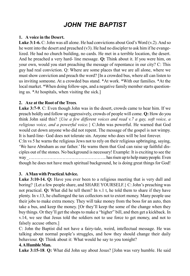# *JOHN THE BAPTIST*

#### **1. A voice in the Desert.**

**Luke 3:1-6.** C: John was all alone. He had convictions about God's Word (v.2). And so he went into the desert and preached (v3). He had no discipler to ask him if he evangelized. He had no church building, no cards. He met in a terrible location, the desert. And he preached a very hard- line message. **Q:** Think about it. If you were him, on your own, would you start preaching the message of repentance in our city? C: This guy had real conviction. Q: Where are some places that we are all alone, where we must show conviction and preach the word? [In a crowded bus, where all can listen to us inviting someone. At a crowded bus stand. \*At work. \*With our families. \*At the local market. \*When doing follow-ups, and a negative family member starts questioning us. \*At hospitals, when visiting the sick.]

#### **2. Axe at the Root of the Trees**.

**Luke 3:7-9**. C: Even though John was in the desert, crowds came to hear him. If we preach boldly and follow up aggressively, crowds of people will come. **Q:** How do you think John said this? {*Use a few different voices and read v.7 a gay, soft voice, a religious voice, and a powerful voice.*} C:John was powerful. He warned that God would cut down anyone who did not repent. The message of the gospel is not wimpy. It is hard-line- God does not tolerate sin. Anyone who does will be lost forever.

C:ln vs 5 he warns the religious Jews not to rely on their religious upbringing, saying, 'We have Abraham as our father.' He warns them that God can raise up faithful disciples out of the stones. No background is necessary! Example: It is exciting to see the way \_…………………………………………….. has risen up to help many people. Even though he does not have much spiritual background, he is doing great things for God!

#### **3. A Man with Practical Advice.**

**Luke 3:10-14. Q:** Have you ever been to a religious meeting that is very dull and boring? {Let a few people share, and SHARE YOURSELF.} C: John's preaching was not practical. **Q:** What did he tell them? In v.1 t, he told them to share if they have plenty. In v.13, he challenged the tax collectors not to extort money. Many people use their jobs to make extra money. They will take money from the boss for an auto, then take a bus, and keep the money. [Or they'll keep the some of the change when they buy things. Or they'll get the shops to make a "higher" bill, and then get a kickback. In v.14, we see that Jesus told the soldiers not to use force to get money, and not to falsely accuse others.]

C: John the Baptist did not have a fairy-tale, weird, intellectual message. He was talking about normal people's struggles, and how they should change their daily behaviour. **Q:** Think about it: What would he say to you tonight?

#### **4. A Humble Man.**

**Luke 3:15-18**. **Q:** What did John say about Jesus? [John was very humble. He said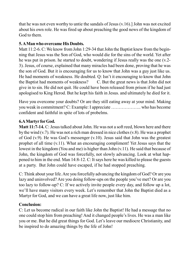that he was not even worthy to untie the sandals of Jesus (v.16).] John was not excited about his own role. He was fired up about preaching the good news of the kingdom of God to them.

#### **5. A Man who overcame His Doubts.**

Matt 11:2-6. C: We know from John 1:29-34 that John the Baptist knew from the beginning that Jesus was the Son of God, who would die for the sins of the world. Yet after he was put in prison. he started to doubt, wondering if Jesus really was the one (v.2- 3). Jesus, of course, explained that many miracles had been done, proving that he was the son of God. But it is encouraging for us to know that John was a guy just like us. He had moments of weakness. He doubted. Q: Isn't it encouraging to know that John the Baptist had moments of weakness? C. But the great news is that John did not give in to sin. He did not quit. He could have been released from prison if he had just apologised to King Herod. But he kept his faith in Jesus. and ultimately he died for it.

Have you overcome your doubts? Or are they still eating away at your mind. Making you weak in commitment? C: Example: I appreciate ……………….. who has become confident and faithful in spite of lots of probelms.

# **6.A Martyr for God.**

**Matt 11:7-14.** C: Jesus talked about John. He was not a soft reed, blown here and there by the wind (v.7). He was not a rich man dressed in nice clothes (v.8). He was a prophet of God (v.9). He was God's messenger (v.10). Jesus said that John was the greatest prophet of all time (v.11). What an encouraging compliment! Yet Jesus says that the lowest in the kingdom (You and me) is higher than John (v.11). He said that because of John, the kingdom of God was forcefully, not slowly advancing. Look at what happened to him in the end. Man 14:8-12. C: It says here he was killed to please the guests at a party. But John could have escaped, if he had stopped preaching.

C: Think about your life. Are you forcefully advancing the kingdom of God? Or are you lazy and uninvolved? Are you doing follow-ups on the people you've met? Or are you too lazy to follow-up? C: If we actively invite people every day, and follow up a lot, we'll have many visitors every week. Let's remember that John the Baptist died as a Martyr for God, and we can have a great life now, just like him.

# **Conclusion:**

C: Let us become radical in our faith like John the Baptist! He had a message that no one could stop him from preaching! And it changed people's lives. He was a man like you or me. But he did great things for God. Let's leave our mediocre Christianity, and be inspired to do amazing things by the life of John!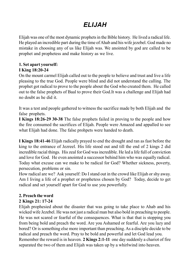# *ELIJAH*

Elijah was one of the most dynamic prophets in the Bible history. He lived a radical life. He played an incredible part during the time of Ahab and his wife jezebel. God made no mistake in choosing any of us like Elijah was. We anointed by god are called to be prophet and prophetess and make history as we live.

#### **1. Set apart yourself: I King 18:20-24**

On the mount carmel Elijah called out to the people to believe and trust and live a life pleasing to the true God. People were blind and did not understand the calling. The prophet got radical to prove to the people about the God who created them. He called out to the false prophets of Baal to prove their God.It was a challenge and Elijah had no doubt as he did it.

It was a test and people gathered to witness the sacrifice made by both Elijah and the false prophets.

**I Kings 18:26-29 30-38** The false prophets failed in proving to the people and how the fire consumed the sacrifices of Elijah. People were Amazed and appalled to see what Elijah had done. The false prohpets were handed to death.

**I Kings 18:41-46** Elijah radically prayed to end the drought and ran as fast before the king to the entrance of Jezreel. His life stood out and till the end of 2 kings 2 did incredible racial things. His zeal for God was incredible. He led a life full of conviction and love for God. He even anointed a successor behind him who was equally radical. Today what excuse can we make to be radical for God? Whether sickness, poverty, persecution, problems or sin.

How radical are we? Ask yourself: Do I stand out in the crowd like Elijah or shy away. Am I living a life of a prophet or prophetess chosen by God? Today, decide to get radical and set yourself apart for God to use you powerfully.

# **2. Preach the word**

# **2 Kings 21: 17-24**

Elijah prophesied about the disaster that was going to take place to Ahab and his wicked wife Jezebel. He was not just a radical man but also bold in preaching to people. He was not scared or fearful of the consequences. What is that that is stopping you from being bold and preach the word. Are you Ashamed or fearful. Are you lazy and bored? Or is something else more important than preaching. As a disciple decide to be radical and preach the word. Pray to be bold and powerful and let God lead you. Remember the reward is in heaven. **2 Kings 2:1-11** one day suddenly a chariot of fire separated the two of them and Elijah was taken up by a whirlwind into heaven.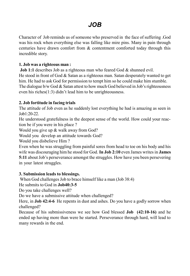# *JOB*

Character of Job reminds us of someone who preserved in the face of suffering .God was his rock when everything else was falling like mire pins. Many in pain through centuries have drawn comfort from & contentment comforted today through this incredible story.

#### **1. Job was a righteous man :**

**Job 1:1** describes Job as a righteous man who feared God & shunned evil. He stood in front of God & Satan as a righteous man. Satan desperately wanted to get him. He had to ask God for permission to tempt him so he could make him stumble. The dialogue b/w God  $&$  Satan attest to how much God believed in Job's righteousness even his riches(1:3) didn't lead him to be unrighteousness.

#### **2. Job fortitude in facing trials**

The attitude of Job even as he suddenly lost everything he had is amazing as seen in Job1:20-22.

He understood gratefulness in the deepest sense of the world. How could your reaction be if you were in his place ?

Would you give up & walk away from God?

Would you develop an attitude towards God?

Would you disbelieve Him ?

Even when he was struggling from painful sores from head to toe on his body and his wife was discouraging him he stood for God. **In Job 2:10** even James writes in **James 5:11** about Job's perseverance amongst the struggles. How have you been persevering in your latest struggles.

#### **3. Submission leads to blessings.**

When God challenges Job to brace himself like a man (Job 38:4)

He submits to God in **Job40:3-5**

Do you take challenges well?

Do we have a submissive attitude when challenged?

Here, in **Job 42:4-6** He repents in dust and ashes. Do you have a godly sorrow when challenged?

Because of his submissiveness we see how God blessed **Job (42:10-16)** and he ended up having more than were he started. Perseverance through hard, will lead to many rewards in the end.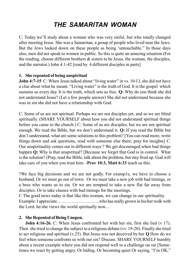# *THE SAMARITAN WOMAN*

C: Today we'll study about a woman who was very sinful, but who totally changed after meeting Jesus. She was a Samaritan, a group of people who lived near the Jews. But the Jews looked down on these people as being 'untouchable." In those days also, men did not speak to women in public. So this is quite an amazing situation (For the reading, choose different brothers & sisters to be Jesus, the woman, the disciples, and the narrator.) John 4:1-42 [read by 4 different disciples in parts]

#### **1. She repented of being unspiritual**

**John 4:7-15** C: When Jesus talked about "living water" in vs. 10-II, she did not have a clue about what he meant. "Living water" is the truth of God. It is the gospel which sustains us every day. It is the truth, which sets us free. **Q:** Why do you think she did not understand Jesus? (Let a few people answer) She did not understand because she was in sin she did not have a relationship with God.

C: Some of us are not spiritual. Perhaps we are not disciples yet, and so we are blind spiritually. (SHARE YOURSELF about how you did not understand spiritual things before you came to the church.) C: Some of us are disciples, but we are not spiritual enough. We read the Bible, but we don't understand it. **Q:** If you read the Bible but don't understand, what are some solutions to this problem? [You can read more, write things down and ask questions, read with someone else there, pray for insights] C. Our unspirituality comes out in different ways:? We get discouraged when bad things happen **Q:** Why is that unspiritual? [Because we forget that God is in control. What is the solution? (Pray, read the Bible, talk about the problem, but stay fired up. God will take care of you when you trust him- -**Prov 10:3, Matt 6:33** teach us this.

?We face big decisions and we are not godly. For examp1e, we have to choose a husband. Or we must go out of town. Or we must take a new job with bad timings, or a boss who wants us to sin. Or we are tempted to take a new flat far away from disciples. Or to take classes with bad timings for the meetings.

C The good news today is that like this woman, we can change in our spirituality. Example: I appreciate………………………..who has really grown in his/her walk with the Lord. he/she views the world spiritually now...

#### **2. She Repented of Being Unopen***.*

**John 4:16-26.** C: When Jesus confronted her with her sin, first she lied (v 17). Then she tried to change the subject to a religious debate (vv. 19-20). Finally she tried to act religious and spiritual (v.25). But Jesus was not deceived by her **Q** How do we feel when someone confronts us with our sin? Discuss. SHARE YOURSELF humbly about a recent example where you did not respond well to a challenge on sin [Sometimes we react by getting angry. Or hiding. Or becoming quiet Or saying, "I'm OK,"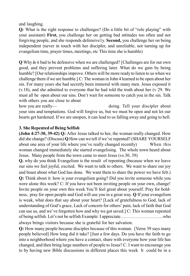and laughing.

**Q:** What is the right response to challenges? (Do a little bit of "role playing" with your assistant) **First,** you challenge her on getting bad attitudes too often and not forgiving people, and she responds defensive1y. **Second,** you challenge her on being independent (never in touch with her discipler, and unreliable, not turning up for evangelism time, prayer times, meetings, etc This time she is humble)

**Q** Why *is* it bad to be defensive when we are challenged? [Challenges are for our own good, and they prevent problems and suffering later. What do we gain by being humble? [Our relationships improve. Others will be more ready to listen to us when we challenge them if we are humble.] C: The woman in John 4 learned to be open about her sin. For many years she had secretly been immoral with many men. Jesus exposed it (v.18), and she admitted to everyone that he had told the truth about her (v 29. We must all be open about our sins. Don't wait for someone to catch you in the sin. Talk with others you are close to about

how you are really— doing. Tell your discipler about your sins and temptations. God will forgive us, but we must be open and not let our hearts get hardened. If we are unopen, it can lead to us falling away and going to hell.

#### **3. She Repented of Being Selfish**

**(John 4:27-30, 39-42) Q:** After Jesus talked to her, the woman really changed. How did she change? (Discuss) **Q** How can we tell if we've repented? (SHARE YOURSELF about one area of your life where you've really changed recently) When this woman changed immediately she started evangelising. The whole town heard about Jesus. Many people from the town came to meet Jesus (vs.30, 39)

**Q.** why do you think Evangelism is the result of repenting (because when we leave our sins we feel joyful, excited. We want to talk to others. We want to share our joy and boast about what God has done. We want them to share the power we have felt.) **Q:** Think about it: how is your evangelism going? Did you invite someone while you were alone this week? C: If you have not been inviting people on your own, change! Invite people on your own this week You'll feel great about yourself. Pray for boldness, pray for open people and God will use you in a great way. **Q** If your evangelism is weak, what does that say about your heart? [Lack of gratefulness to God, lack of understanding of God's grace, Lack of concern for others' pain, lack of faith that God can use us, and we've forgotten how and why we got saved.] C: This woman repented of being selfish. Let's not be selfish Example: I appreciate………………………..who always brings visitors because she is grateful for her salvation.

**Q:** How many people became disciples because of this woman. [Verse 39 says many people believed] How long did it take? [Just a few days. Do you have the faith to go into a neighborhood where you have a contact, share with everyone how your life has changed, and then bring large numbers of people to Jesus? C. I want to encourage you to by having new Bible discussions in different places this week lt could be in a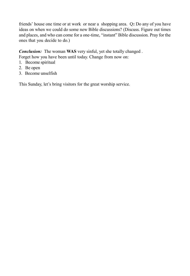friends' house one time or at work or near a shopping area. Q**:** Do any of you have ideas on when we could do some new Bible discussions? (Discuss. Figure out times and places, and who can come for a one-time, "instant" Bible discussion. Pray for the ones that you decide to do.)

*Conclusion:* The woman **WAS** very sinful, yet she totally changed .

Forget how you have been until today. Change from now on:

- 1. Become spiritual
- 2. Be open
- 3. Become unselfish

This Sunday, let's bring visitors for the great worship service.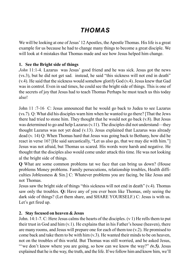# *THOMAS*

We will be looking at one of Jesus' 12 Apostles, the Apostle Thomas. His life is a great example for us because he had to change many things to become a great disciple. We will look at 4 mistakes that Thomas made and see how Jesus helped him change.

#### **1. See the Bright side of things**

*John* 11:1-4. Lazarus was Jesus' good friend and he was sick. Jesus got the news (vs.3), but he did not get sad. instead, he said "this sickness will not end in death" (v.4). He said that the sickness would somehow glorify God (v.4). Jesus knew that Gad was in control. Even in sad times, he could see the bright side of things. This is one of the secrets of joy that Jesus had to teach Thomas Perhaps he must teach us this today also!

John 11 :7-16 C: Jesus announced that he would go back to Judea to see Lazarus (vs.7). Q: What did his disciples warn him when he wanted to go there? [That the Jews there had tried to stone him. They thought that he would not go back (v.8). But Jesus was determined to go and help Lazarus (v.11). The disciples did not understand—they thought Lazarus was not yet dead (v.13). Jesus explained that Lazarus was already dead (v. 14) Q: When Thomas hard that Jesus was going back to Bethany, how did he react in verse 16? [He said sarcastically, "Let us also go, that we may die with him."] Jesus was not afraid, but Thomas us scared. His words were harsh and negative. He thought that the disciples also would come under attack this time. He was not looking al the bright side of things.

**Q** What are some common problems tat we face that can bring us down? (House problems Money problems. Family persecutions, relationship troubles, Health difficulties Joblessness  $\&$  Sin.] C: Whatever problems you are facing, be like Jesus and not Thomas.

Jesus saw the bright side of things "this sickness will not end in death" (v.4). Thomas saw only the troubles. **Q:** Have any of you ever been like Thomas, only seeing the dark side of things? (Let them share, and SHARE YOURSELF.) C: Jesus is with us. Let's get fired up.

#### **2. Stay focused on heaven & Jesus**

John. 14:1-7. C: Here Jesus calms the hearts of the disciples. (v 1) He rells them to put their trust in God and him (v.1). He explains that in his Father's house (heaven), there are many rooms, and Jesus will prepare one for each of them too (v.2). He promised to come back and take them to be with him  $(v, 3)$ . He wanted their minds to be on heaven, not on the troubles of this world. But Thomas was still worried, and he asked Jesus, "we don't know where you are going, so how can we know the way?" (v.5). Jesus explained that he is the way, the truth, and the life. If we follow him and know him, we'll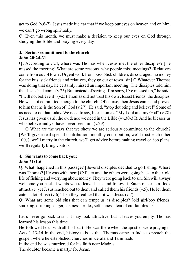get to God (v.6-7). Jesus made it clear that if we keep our eyes on heaven and on him, we can't go wrong spiritually.

C. Even this month, we must make a decision to keep our eyes on God through studying the Bible and praying every day.

#### **3. Serious commitment to the church John 20:24-31**

**Q:** According to v.24, where was Thomas when Jesus met the other disciples? [He missed the meeting] What are some reasons why people miss meetings? (Relatives come from out of town , Urgent work from boss. Sick children, discouraged. no money for the bus. sick friends and relatives, they go out of town, sin] C Whatever Thomas was doing that day, he certainly missed an important meeting! The disciples told him that Jesus had come (v 25) But instead of saying "I'm sorry, I've messed up," he said, "I will not believe it**"** (v25) Thomas did not trust his own closest friends, the disciples. He was not committed enough to the church. Of course, then Jesus came and proved to him that he is the Son of' God (v 27). He said, "Stop doubting and believe!" Some of us need to do that today. We need to say, like Thomas, "My Lord and my God" (v.28) Jesus has given us all the evidence we need in the Bible (vv.30-3 I). And he blesses us who believe and yet have never seen him (v.29)

Q What are the ways that we show we are seriously committed to the church? [We'll give a real special contribution, monthly contribution, we'll trust each other 100%, we'll marry in the church, we'll get advice before making travel or job plans, we'll regularly bring visitors

# **4. Sin wants to come back you:**

# **John 21:1-6.**

Q: What happened in this passage? [Several disciples decided to go fishing. Where was Thomas? [He was with them] C: Peter and the others were going back to their old life of fishing and worrying about money. They were going back to sin. Sin will always welcome you back It wants you to leave Jesus and follow it. Satan makes sin look attractive yet Jesus reached out to them and called them his friends  $(v, 5)$ . He let them catch a lot of fish  $(v 6)$  Then they realized that it was Jesus  $(v.7)$ .

**Q:** What are some old sins that can tempt us as disciples? [old girl/boy friends, smoking, drinking, anger, laziness, pride., selfishness, fear of our familes]. C:

Let's never go back to sin. It may look attractive, but it leaves you empty. Thomas learned his lesson this time.

He followed Jesus with all his heart. He was there when the apostles were praying in Acts 1 13-14 In the end, history tells us that Thomas came to India to preach the gospel, where he established churches in Kerala and Tamilnadu.

In the end he was murdered for his faith near Madras

The doubter became a martyr for Jesus.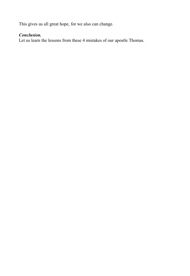This gives us all great hope, for we also can change.

# *Conclusion.*

Let us learn the lessons from these 4 mistakes of our apostle Thomas.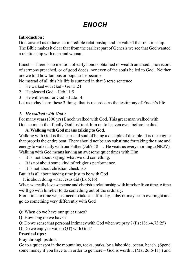# *ENOCH*

#### **Introduction :**

God created us to have an incredible relationship and he valued that relationship. The Bible makes it clear that from the earliest part of Genesis we see that God wanted a relationship with man and woman.

Enoch – There is no mention of early honors obtained or wealth amassed. , no record of sermons preached, or of good deeds, nor even of the souls he led to God . Neither are we told how famous or popular he became.

No instead of all this his life is summed in that 3 terse sentence

- 1 He walked with God Gen 5:24
- 2 He pleased God Heb 11:5
- 3 He witnessed for God Jude 14.

Let us today learn these 3 things that is recorded as the testimony of Enoch's life

# *1. He walked with God :*

For many years (300 yrs) Enoch walked with God. This great man walked with God so much that finally God just took him on to heaven even before he died.

#### **A. Walking with God means talking to God.**

Walking with God is the heart and soul of being a disciple of disciple. It is the engine that propels the entire boat. There should not be any substitute for taking the time and energy to walk daily with our Father (Job7:18 - …He visits us every morning ..(NKJV). Walking with God means having an awesome quiet times with Him

- It is not about saying what we did something.
- It is not about some kind of religious performance.
- It is not about christian checklists

But it is all about having time just to be with God

It is about doing what Jesus did (Lk 5:16)

When we really love someone and cherish a relationship with him/her from time to time we'll go with him/her to do something out of the ordinary.

From time to time we just need to take a half-a-day, a day or may be an overnight and go do something very differently with God

- Q: When do we have our quiet times?
- Q: How long do we have ?
- Q: Do we sense that personal intimacy with God when we pray ? (Ps :18:1-4,73:25)

Q: Do we enjoy or walks (QT) with God?

# **Practical tips :**

Pray through psalms.

Go to a quiet spot in the mountains, rocks, parks, by a lake side, ocean, beach. (Spend some money if you have to in order to ge there – God is worth it (Mat 26:6-11) ) and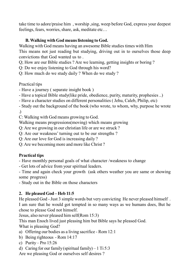take time to adore/praise him , worship ,sing, weep before God, express your deepest feelings, fears, worries, share, ask, meditate etc…

### **B. Walking with God means listening to God.**

Walking with God means having an awesome Bible studies times with Him This means not just reading but studying, driving out in to ourselves those deep convictions that God wanted us to .

Q; How are our Bible studies ? Are we learning, getting insights or boring ?

Q: Do we enjoy listening to God through his word?

Q: How much do we study daily ? When do we study ?

Practical tips

- Have a journey ( separate insight book )

- Have a topical Bible study(like pride, obedience, purity, maturity, prophesies ..)

- Have a character studies on different personalities ( Jehu, Caleb, Philip, etc)

- Study out the background of the book (who wrote, to whom, why, purpose he wrote .)

C: Walking with God means growing to God.

Walking means progressions(moving) which means growing

Q: Are we growing in our christian life or are we struck ?

Q: Are our weakness' turning out to be our strengths ?

Q: Are our love for God is increasing daily ?

Q: Are we becoming more and more like Christ ?

# **Practical tips**

- Have monthly personal goals of what character /weakness to change

- Get lots of advice from your spiritual leaders.

- Time and again check your growth (ask others weather you are same or showing some progress)

- Study out in the Bible on those characters

# **2. He pleased God – Heb 11:5**

He pleased God - Just 3 simple words but very convicting He never pleased himself . I am sure that he would got tempted in so many ways as we humans does, But he chose to please God not himself.

Jesus, also never pleased him self(Rom 15:3)

This man Enoch lived just pleasing him but Bible says he pleased God.

What is pleasing God?

- a) Offering our bodies as a living sacrifice Rom 12:1
- b) Being righteous Rom 14:17
- c) Purity Pro 15:26
- d) Caring for our family (spiritual family) 1 Ti  $5:3$

Are we pleasing God or ourselves self desires ?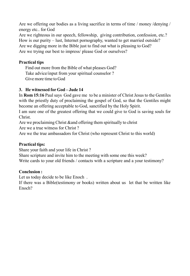Are we offering our bodies as a living sacrifice in terms of time / money /denying / energy etc.. for God

Are we righteous in our speech, fellowship, giving contribution, confession, etc.? How is our purity – lust, Internet pornography, wanted to get married outside? Are we digging more in the Bible just to find out what is pleasing to God? Are we trying our best to impress/ please God or ourselves?

#### **Practical tips**

Find out more from the Bible of what pleases God? Take advice/input from your spiritual counselor ? Give more time to God

#### **3. He witnessed for God – Jude 14**

In **Rom 15:16** Paul says God gave me to be a minister of Christ Jesus to the Gentiles with the priestly duty of proclaiming the gospel of God, so that the Gentiles might become an offering acceptable to God, sanctified by the Holy Spirit.

I am sure one of the greatest offering that we could give to God is saving souls for Christ.

Are we proclaiming Christ &and offering them spiritually to christ

Are we a true witness for Christ ?

Are we the true ambassadors for Christ (who represent Christ to this world)

#### **Practical tips:**

Share your faith and your life in Christ ?

Share scripture and invite him to the meeting with some one this week? Write cards to your old friends / contacts with a scripture and a your testimony?

#### **Conclusion :**

Let us today decide to be like Enoch .

If there was a Bible(testimony or books) written about us let that be written like Enoch?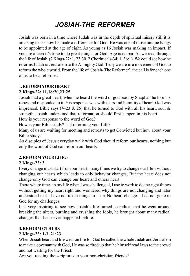# *JOSIAH-THE REFORMER*

Josiah was born in a time where Judah was in the depth of spiritual misery still it is amazing to see how he made a difference for God. He was one of those unique Kings to be appointed at the age of eight. As young as 16 Josiah was making an impact, If you are a teen it's time to do great things for God. Age is no bar. As we read through the life of Josiah (2 Kings-22: 1, 23:30. 2 Chorinicals-34: 1, 36:1). We could see how he reforms Judah & Jerusalem to the Almighty God. Truly we are in a movement of God to reform the whole world. From the life of 'Josiah- The Reformer', the call is for each one of us to be a reformer.

# **1. REFORM YOUR HEART**

# **2 Kings-22: 11,18:20,23:25**

Josiah had a great heart, when he heard the word of god read by Shaphan he tore his robes and responded to it. His response was with tears and humility of heart. God was impressed, Bible says (V-23  $\&$  25) that he turned to God with all his heart, soul  $\&$ strength. Josiah understood that reformation should first happen in his heart.

How is your response to the word of God?

How is your Bible study? Is it reforming your Life?

Many of us are waiting for meeting and retreats to get Convicted but how about your Bible study?

As disciples of Jesus everyday walk with God should reform our hearts, nothing but only the word of God can reform our hearts.

# **2. REFORM YOUR LIFE: -**

# **2 Kings-23: 3**

Every change must start from our heart, many times we try to change our life's without changing our hearts which leads to only behavior changes, But the heart does not change only God can change our heart and others heart.

There where times in my life when I was challenged, I use to work to do the right things without getting my heart right and wondered why things are not changing and later understood that I have not taken things to heart-No heart change. I had not gone to God for my challenges.

It is very inspiring to see how Josiah's life turned so radical that he went around breaking the alters, burning and crushing the Idols, he brought about many radical changes that had never happened before.

# **3. REFORM OTHERS**

# **2 Kings-23: 1-3, 21:23**

When Josiah heart and life wear on fire for God he called the whole Judah and Jerusalem to make a covenant with God, He was so fired up that he himself read laws to the crowd and not waiting for the Priest.

Are you reading the scriptures to your non-christian friends?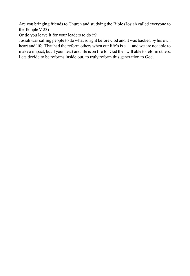Are you bringing friends to Church and studying the Bible (Josiah called everyone to the Temple V-23)

Or do you leave it for your leaders to do it?

Josiah was calling people to do what is right before God and it was backed by his own heart and life. That had the reform others when our life's is a and we are not able to make a impact, but if your heart and life is on fire for God then will able to reform others. Lets decide to be reforms inside out, to truly reform this generation to God.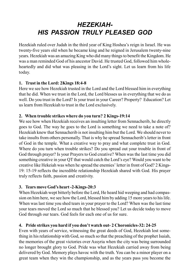# *HEZEKIAH-HIS PASSION TRULY PLEASED GOD*

Hezekiah ruled over Judah in the third year of King Hoshea's reign in Israel. He was twenty-five years old when he became king and he reigned in Jerusalem twenty-nine years. Hezekiah was an amazing King who did many things to benefit the Kingdom. He was a man reminded God of his ancestor David. He trusted God, followed him wholeheartedly and did what was pleasing in the Lord's sight. Let us learn from his life today.

#### **1. Trust in the Lord: 2Kings 18:4-8**

Here we see how Hezekiah trusted in the Lord and the Lord blessed him in everything that he did. When we trust in the Lord, the Lord blesses us in everything that we do as well. Do you trust in the Lord? Is your trust in your Career? Property? Education? Let us learn from Hezekiah to trust in the Lord exclusively.

#### **2. When trouble strikes where do you turn? 2 Kings-19:14**

We see how when Hezekiah receives an insulting letter from Sennacherib, he directly goes to God. The way he goes to the Lord is something we need to take a note of? Hezekiah knew that Sennacherib is not insulting him but the Lord. We should never to take insults from others personally. That is why he spread Sennacherib's letter in front of God in the temple. What a creative way to pray and what complete trust in God. Where do you turn when trouble strikes? Do you spread out your trouble in front of God through prayer? Is your Prayers to God creative? When was the last time you did something creative in your QT that would catch the Lord's eye? Would you want to be creative like Hekeiah was when he spread the enemies' letter in front of God? 2 Kings-19: 15-19 reflects the incredible relationship Hezekiah shared with God. His prayer truly reflects faith, passion and creativity.

# **3. Tears move God's heart -2-Kings-20:3**

When Hezekiah wept bitterly before the Lord, He heard hid weeping and had compassion on him here, we see how the Lord, blessed him by adding 15 more years to his life. When was last time you shed tears in your prayer to the Lord? When was the last time your tears moved the Lord so much that he blessed you? Let us decide today to move God through our tears. God feels for each one of us for sure.

# **4. Pride strikes you hard if you don't watch out- 2 Choronicles-32: 24-25**

Even with years of service, witnessing the great deeds of God, Hezekiah lost something in his relationship with God, so much so that the preaching of the prophet Isaiah, the memories of the great victories over Assyria when the city was being surrounded no longer brought glory to God. Pride was what Hezekiah carried away from being delivered by God. Memory plays havoc with the truth. You can be a minor player on a great team when they win the championship, and as the years pass you become the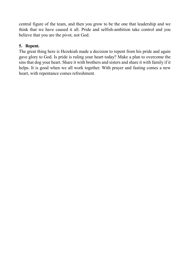central figure of the team, and then you grow to be the one that leadership and we think that we have caused it all. Pride and selfish-ambition take control and you believe that you are the pivot, not God.

### **5. Repent.**

The great thing here is Hezekiah made a decision to repent from his pride and again gave glory to God. Is pride is ruling your heart today? Make a plan to overcome the sins that dog your heart. Share it with brothers and sisters and share it with family if it helps. It is good when we all work together. With prayer and fasting comes a new heart, with repentance comes refreshment.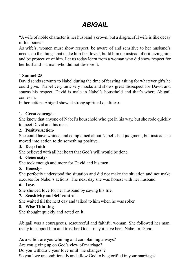# *ABIGAIL*

"A wife of noble character is her husband's crown, but a disgraceful wife is like decay in his bones"

As wife's, women must show respect, be aware of and sensitive to her husband's needs, do the things that make him feel loved, build him up instead of criticizing him and be protective of him. Let us today learn from a woman who did show respect for her husband – a man who did not deserve it.

# **1 Samuel-25**

David sends servants to Nabel during the time of feasting asking for whatever gifts he could give. Nabel very unwisely mocks and shows great disrespect for David and spurns his respect. David is male in Nabel's household and that's where Abigail comes in.

In her actions Abigail showed strong spiritual qualities**:-**

#### **1. Great courage –**

She knew that anyone of Nabel's household who got in his way, but she rode quickly to meet David and his men.

#### **2. Positive Action-**

She could have whined and complained about Nabel's bad judgment, but instead she moved into action to do something positive.

#### **3. Deep Faith-**

She believed with all her heart that God's will would be done.

#### **4. Generosity-**

She took enough and more for David and his men.

#### **5. Honesty-**

She perfectly understood the situation and did not make the situation and not make excuses for Nabel's actions. The next day she was honest with her husband.

# **6. Love-**

She showed love for her husband by saving his life.

# **7. Sensitivity and Self-control-**

She waited till the next day and talked to him when he was sober.

# **8. Wise Thinking-**

She thought quickly and acted on it.

Abigail was a courageous, resourceful and faithful woman. She followed her man, ready to support him and trust her God – may it have been Nabel or David.

As a wife's are you whining and complaining always?

Are you giving up on God's view of marriage?

Do you withdraw your love until "he changes"?

So you love unconditionally and allow God to be glorified in your marriage?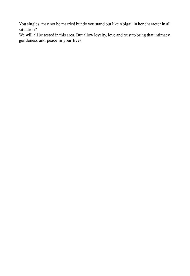You singles, may not be married but do you stand out like Abigail in her character in all situation?

We will all be tested in this area. But allow loyalty, love and trust to bring that intimacy, gentleness and peace in your lives.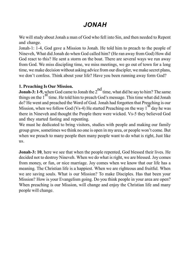# *JONAH*

We will study about Jonah a man of God who fell into Sin, and then needed to Repent and change.

Jonah-1: 1-4, God gave a Mission to Jonah. He told him to preach to the people of Nineveh, What did Jonah do when God called him? (He ran away from God) How did God react to this? He sent a storm on the boat. There are several ways we run away from God. We miss discipling time, we miss meetings, we go out of town for a long time, we make decision without asking advice from our discipler, we make secret plans, we don't confess. Think about your life? Have you been running away form God?

#### **1. Preaching Is Our Mission.**

**Jonah-3: 1-9,** when God came to Jonah the 2<sup>nd</sup> time, what did he say to him? The same things on the  $1<sup>st</sup>$  time. He told him to preach God's message. This time what did Jonah do? He went and preached the Word of God. Jonah had forgotten that Preaching is our Mission, when we follow God (Vs-4) He started Preaching on the way  $1<sup>st</sup>$  day he was there in Nineveh and thought the People there were wicked. Vs-5 they believed God and they started fasting and repenting.

We must he dedicated to bring visitors, studies with people and making our family group grow, sometimes we think no one is open in my area, or people won't come. But when we preach to many people then many people want to do what is right, Just like us.

**Jonah-3: 10**, here we see that when the people repented, God blessed their lives. He decided not to destroy Nineveh. When we do what is right, we are blessed. Joy comes from money, or fun, or nice marriage. Joy comes when we know that our life has a meaning. The Christian life is a happiest. When we are righteous and fruitful. When we are saving souls. What is our Mission? To make Disciples. Has that been your Mission? How is your Evangelism going. Do you think people in your area are open? When preaching is our Mission, will change and enjoy the Christian life and many people will change.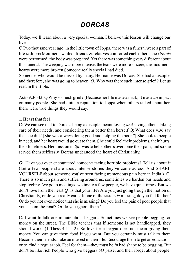# *DORCAS*

Today, we'll learn about a very special woman. I believe this lesson will change our lives.

C Two thousand year ago, in the little town of Joppa, there was a funeral were a part of life *in* Joppa Mourners, wailed; friends & relatives comforted each others, the r*itiuals* were performed; the body was prepared. Yet there was something very different about this funeral. The weeping was more intense; the tears were more sincere, the mourners' hearts were more broken Someone really specia1 had died,

Someone who would be missed by many. Her name was Dorcas. She had a disciple, and therefore, she was going to heaven. *Q:* Why was there such intense grief ? Let us read in the Bible.

Acts-9:36-43. Q Why so much grief? [Because her life made a mark; It made *an* impact on many people. She had quite a reputation to Joppa when others talked about her. there were true things they would say.

### **1. Heart that feel***.*

C: We can see that to Dorcas, being a disciple meant loving *and* saving others, taking care of tbeir needs, and considering them better than herself Q: What does v.36 say that she did? [She was always doing good and helping the poor."] She look to people in need, and her heart would go out to them. She could feel their problems, their hurts, their loneliness. Her mission in *life* was to help other's overcome their pain, and so she served them selflessly. Dorcas understood the heart of Christianity.

*Q:* Have you ever encountered someone facing horrible problems? Tell us about it (Let a few people share about intense stories they've come across. And SHARE YOURSELF about someone you've seen facing tremendous pain here in India.) C: There is so much pain and suffering around us, sometimes we harden our heads and stop feeling. We go to meetings, we invite a few people, we have quiet times. But we don't love from the heart *Q:* Is that your life? Are you just going trough the motion of Christianity, or do you really care? If one of the sisters *is* missing, do you fed for her? Or do you not even notice that she is missing? Do you feel the pain of poor people that you see on the road? Or do you ignore them?

C: I want to talk one minute about beggars. Sometimes we see people begging for money on the street. The Bible teaches that if someone is not handicapped, they should work (1 Thess 4:11-12). So love for a beggar does not mean giving them money. You can give them food if you want. But you certainly must talk to them Become their friends. Take an interest in their life. Encourage them to get an education, or to find a regular job. Feel for them—they must be *in* bad shape to be begging. But don't be like rich People who give beggers 5O paise, and then forqet about people.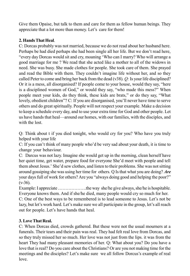Give them Opaise, but talk to them and care for them as fellow human beings. They appreciate that a lot more than money. Let's care for them!

# **2. Hands That Heal**.

C: Dorcas probably was not married, because we do not read about her husband here. Perhaps be had died perhaps she had been single all her life. But we don't read here, "every day Dorcas would sit and cry, moaning 'Who can I marry? Who will arrange a good marriage for me ? We read that she acted like a mother to all of the widows in need. She was busy. She made clothes for people. She took care of them. She prayed and read the Bible with them. They couldn't imagine life without her, and so they called Peter to come and bring her back from the dead (v38). *Q:* Is your life disciplined? Or it is a mess, all disorganised? If people come to your house, would they say, "here is a disciplined women of God," or would they say, "who made this mess?" When people meet your kids, do they think, these kids are brats," or do they say, "What lovely, obedient children"? C: If you are disorganised, you'll never have time to serve others and do great spiritually. People will not respect your example. Make a decision to keep a schedule every day, and to use your extra time for God and other people. Let us have hands that heal—around our homes, with our families, with the disciples, and with the lost.

Q: Think about t if you died tonight, who would cry for you? Who have you truly helped with your life

C: If you can't think of many people who'd be very sad about your death, it is time to change your behaviour.

C: Darcus was not lazy. Imagine she would get up in the morning, clean herself have her quiet time, get water, prepare food for everyone She'd meet with people and tell them about Jesus.' She'd sew clothes, and listen to their problems. She was not sitting around gossiping she was using her time for others. Q Is that what you are doing? *Are* your days full of work for others? Are you "always doing good and helping the poor?"  $(v-36)$ .

Example: I appreciate ..................the way she/he give always, she/he is hospitable. Everyone knows them. And if she/he died, many people would cry so much for her.

C: One of the best ways to be remembered is to lead someone to Jesus. Let's not be lazy, but let's work hard. Let's make sure we all participate in the group, let's all reach out for people. Let's have hands that heal.

# **3. Love That Real.**

C: When Dorcas died, crowds gathered. But these were not the usual mourners at a funerals. Their tears and their pain was real. They had felt real love from Dorcas, and so they truly missed her so much. Her love was not just from the lips. it was from the heart They had many pleasant memories of her. Q: What about you? Do you have a love that is real? Do you care about the Christians? Or are you not making time for the meetings and the disciples? Let's make sure we all follow Dorcus's example of real love.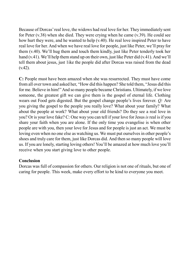Because of Dorcas' real love, the widows had real love for her. They immediately sent for Peter (v.38) when she died. They were crying when he came (v.39). He could see how hurt they were, and he wanted to help (v.40). He real love inspired Peter to have real love for her. And when we have real love for people, just like Peter, we'll pray for them (v.40). We'll hug them and touch them kindly, just like Peter tenderly took her hand (v.41). We'll help them stand up on their own, just like Peter did (v.41). And we'll tell them about jesus, just 1ike the people did after Dorcas was raised from the dead  $(v.42)$ .

**C:** People must have been amazed when she was resurrected. They must have come from all over town and asked her, "How did this happen? She told them, "Jesus did this for me. Believe in him!" And so many people became Christians. Ultimately, if we love someone, the greatest gift we can give them is the gospel of eternal life. Clothing wears out Food gets digested. But the gospel change people's lives forever. *Q:* Are you giving the gospel to the people you really love? What about your family? What about the people at work? What about your old friends? Do they see a real love in you? Or is your love fake? C: One way you can tell if your love for Jesus *is*real is if you share your faith when you are alone. If the only time you evangelise is when other people are with you, then your love for Jesus and for people is just an act. We must be loving even when no one else as watching us. We must put ourselves in other people's shoes and truly care for them, just like Dorcas did. And then so many people will love us. If you are lonely, starting loving others! You'll be amazed at how much love you'll receive when you start giving love to other people.

#### **Conclusion**

Dorcas was full of compassion for others. Our religion is not one of rituals, but one of caring for people. This week, make every effort to be kind to everyone you meet.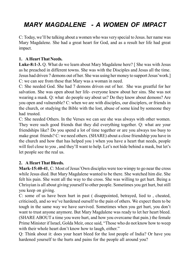# *MARY MAGDALENE - A WOMEN OF IMPACT*

C: Today, we'll be talking about a women who was very special to Jesus. her name was Mary Magdalene. She had a great heart for God, and as a result her life had great impact.

### **1. A Heart That Needs.**

**Luke-8:1-3.** Q. What do we learn about Mary Magdalene here? [ She was with Jesus as he preached in different towns. She was with the Disciples and Jesus all the time. Jesus had driven 7 demons out of her. She was using her money to support Jesus'work.] C: we can see from these that Mary was a woman in need.

C: She needed God. She had 7 demons driven out of her. She was greatful for her salvation. She was open about her life- everyone knew about her sins. She was not wearing a mask. Q: what do people say about us? Do they know about demons? Are you open and vulnerable? C: when we are with disciples, our disciplers, or friends in the church, or studying the Bible with the lost, abuse of some kind by someone they had trusted.

C: She needed Others. In the Verses we can see she was always with other women. They were such good friends that they did everything together. Q: what are your friendships like? Do you spend a lot of time together or are you always too busy to make great friends? C: we need others. (SHARE) about a close friendship you have in the church and how that has helped you ) when you have a heart that needs, people will feel close to you , and they'll want to help. Let's not hide behind a mask, but let's let people see the real us.

# **2. A Heart That Bleeds.**

**Mark-15:40-41**, C: Most of Jesus'Own disciples were too wimpy to go near the cross while Jesus died. But Mary Magdalene wanted to be there. She watched him die. She felt his pain. She went all the way to the cross. She was willing to get hurt. Being a Chrisyian is all about giving yourself to other people. Sometimes you get hurt, but still you keep on giving.

C: some of us have been hurt in past ( disappointed, betrayed, lied to , cheated, criticised), and so we've hardened ourself to the pain of others. We expect them to be tough in the same way we have survived. Sometimes when you get hurt, you don't want to trust anyone anymore. But Mary Magdalene was ready to let her heart bleed. (SHARE ABOUT a time you were hurt, and how you overcame that pain.) the female Prime Minister if Israel, Golda Meir, once said, "Those who do not know how to weep with their whole heart don't know how to laugh, either."

Q: Think about it: does your heart bleed for the lost people of India? Or have you hardened yourself to the hurts and pains for the people all around you?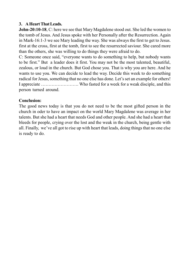### **3. A Heart That Leads.**

**John-20:10-18**, C: here we see that Mary Magdalene stood out. She led the women to the tomb of Jesus. And Jesus spoke with her Personally after the Resurrection. Again in Mark-16:1-3 we see Mary leading the way. She was always the first to get to Jesus. first at the cross, first at the tomb, first to see the resurrected saviour. She cared more than the others, she was willing to do things they were afraid to do.

C: Someone once said, "everyone wants to do something to help, but nobody wants to be first." But a leader does it first. You may not be the most talented, beautiful, zealous, or loud in the church. But God chose you. That is why you are here. And he wants to use you. We can decide to lead the way. Decide this week to do something radical for Jesus, something that no one else has done. Let's set an example for others! I appreciate ……………………. Who fasted for a week for a weak disciple, and this person turned around.

#### **Conclusion:**

The good news today is that you do not need to be the most gifted person in the church in oder to have an impact on the world Mary Magdalene was average in her talents. But she had a heart that needs God and other people. And she had a heart that bleeds for people, crying over the lost and the weak in the church, being gentle with all. Finally, we've all got to rise up with heart that leads, doing things that no one else is ready to do.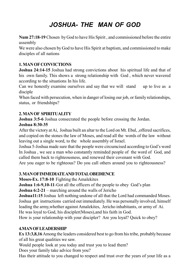# *JOSHUA- THE MAN OF GOD*

**Num 27:18-19** Chosen by God to have His Spirit , and commissioned before the entire assembly

We were also chosen by God to have His Spirit at baptism, and commissioned to make disciples of all nations

### **1. MAN OF CONVICTIONS**

**Joshua 24:14-15** Joshua had strong convictions about his spiritual life and that of his own family. This shows a strong relationship with God , which never wavered according to the situations In his life.

Can we honestly examine ourselves and say that we will stand up to live as a disciple

When faced with persecution, when in danger of losing our job, or family relationships, status, or friendships?

# **2. MAN OF SPIRITUALITY**

**Joshua 3:5-6** Joshua consecrated the people before crossing the Jordan.

### **Joshua 8:30-35**

After the victory at Ai, Joshua built an altar to the Lord on Mt. Ebal, ,offered sacrifices, and copied on the stones the law of Moses, and read all the words of the law without leaving out a single word, to the whole assembly of Israel.

Joshua 5-Joshua made sure that the people were circumcised according to God's word In Joshua , we see a man who constantly reminded people of the word of God, and called them back to righteousness, and renewed their covenant with God.

Are you eager to be righteous? Do you call others around you to righteousness?

### **3. MAN OF IMMEDIATE AND TOTAL OBEDIENCE**

**Moses-Ex. 17:8-10** Fighting the Amalekites

**Joshua 1:6-9,10-11-**Got all the officers of the people to obey God's plan

**Joshua 6:2-21** – marching around the walls of Jericho

**Joshua11:15** Joshua left nothing undone of all that the Lord had commanded Moses. Joshua got instructions carried out immediately. He was personally involved, himself leading the army,whether against Amalekites, Jericho inhabitants, or army of Ai. He was loyal to God, his discipler(Moses),and his faith in God.

How is your relationship with your discipler? Are you loyal? Quick to obey?

# **4.MAN OF LEADERSHIP**

**Ex 13:3,8,16** Among the leaders considered best to go from his tribe, probably because of all his great qualities we saw.

Would people look at you today and trust you to lead them?

Does your family take advice from you?

Has their attitude to you changed to respect and trust over the years of your life as a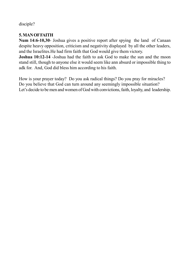disciple?

# **5. MAN OF FAITH**

**Num 14:6-10,30**- Joshua gives a positive report after spying the land of Canaan despite heavy opposition, criticism and negativity displayed by all the other leaders, and the Israelites.He had firm faith that God would give them victory.

**Joshua 10:12-14** -Joshua had the faith to ask God to make the sun and the moon stand still, though to anyone else it would seem like ann absurd or impossible thing to adk for. And, God did bless him according to his faith.

How is your prayer today? Do you ask radical things? Do you pray for miracles? Do you believe that God can turn around any seemingly impossible situation? Let's decide to be men and women of God with convictions, faith, loyalty, and leadership.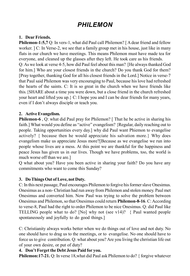# *PHILEMON*

#### **1. Dear Friends.**

**Philemon-1:5,7** Q: In vers-1, what did Paul call Philemon? [ A dear friend and fellow worker. ] C: In Verse-2, we see that a family group met in his house, just like in many flats in our church we have meetings. This means Philemon must have made tea for everyone, and cleaned up the glasses after they left. He took care as his friends. Q: As we look at verse 4-5, how did Paul feel about this man? [He always thanked God

for him.] Who are your closest friends in the church? Do you thank God for them? [Pray together, thanking God for all his closest friends in the Lord.] Notice in verse-7 that Paul said Philemon was very encouraging to Paul, because his love had refreshed the hearts of the saints. C: It is so great in the church when we have friends like this.{SHARE about a time you were down, but a close friend in the church refreshed your heart and lifted you up.  $\sum$  I hope you and I can be dear friends for many years, even if I don't always disciple or teach you.

### **2. Active Evangelism.**

**Philemon-6**, Q: what did Paul pray for Philemon? [That he be active in sharing his faith.] What would you define as "active" evangelism? {Regular, daily reaching out to people. Taking opportunities every day.] why did Paul want Phiemon to evangelise actively? { because then he would appreciate his salvation more.} Why does evangelism make us appreciate Jesus more?[Because as we evangelise we run into people whose lives are a mess. At this point we are thankful for the happiness and peace Jesus has given us in our lives. Though we have problems, too, the world is much worse off than we are.]

Q what about you? Have you been active in sharing your faith? Do you have any commitments who want to come this Sunday?

### **3. Do Things Out of Love, not Duty.**

C: In this next passage, Paul encourages Philemon to forgive his former slave Onesimus. Onesimus as a non- Christian had run away from Philemon and stolen money. Paul met Onesimus and converted him. Now Paul was trying to solve the problem between Onesimus and Philemon, so that Onesimus could return **Philemon-8-16**. C: According to verse-8, Paul had the right to order Philemon to be nice Onesimus. Q: did Paul like TELLING people what to do? [No] why not (see v14)? { Paul wanted people spontaneously and joyfully to do good things.]

C: Christianity always works better when we do things out of love and not duty. No one should have to drag us to the meetings, or to evangelise. No one should have to force us to give contribution. Q: what about you? Are you living the chrristian life out of your own desire, or put of duty?

### **4. Don't Forget the Debt Jesus Paid for you.**

**Philemon:17-21.** Q: In verse 18,what did Paul ask Philemon to do? { forgive whatever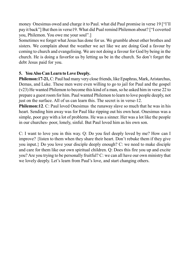money Onesimus owed and charge it to Paul. what did Paul promise in verse 19 ["l'll pay it back"] But then in verse19. What did Pual remind Philemon about? ["I coverted you, Philemon. You owe me your soul".]

Sometimes we forget what Jesus has done for us. We grumble about other brothes and sisters. We complain about the weather we act like we are doing God a favour by coming to church and evangelising. We are not doing a favour for God by being in the church. He is doing a favorfor us by letting us be in the church. So don't forget the debt Jesus paid for you.

# **5. You Also Can Learn to Love Deeply.**

**Philemon:17-21,** C: Paul had many very close friends, like Epaphras, Mark, Aristarchus, Demas, and Luke. These men were even willing to go to jail for Paul and the gospel (v23) He wanted Philemon to become this kind of a man, so he asked him in verse 22 to prepare a guest room for him. Paul wanted Philemon to learn to love people deeply, not just on the surface. All of us can learn this. The secret is in verse-12.

**Philemon:12.** C: Paul loved Onesimus the runaway slave so much that he was in his heart. Sending him away was for Paul like ripping out his own heat. Onesimus was a simple, poor guy with a lot of problems. He was a sinner. Her was a lot like the people in our churches- poor, lonely, sinful. But Paul loved him as his own son.

C: I want to love you in this way. Q: Do you feel deeply loved by me? How can I improve? {listen to them when they share their heart. Don't rebuke them if they give you input.} Do you love your disciple deeply enough? C: we need to make disciple and care for them like our own spiritual children. Q: Does this fire you up and excite you? Are you trying to be personally fruitful? C: we can all have our own ministry that we lovely deeply. Let's learn from Paul's love, and start changing others.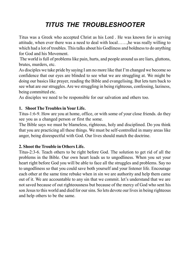# *TITUS THE TROUBLESHOOTER*

Titus was a Greek who accepted Christ as his Lord . He was known for is serving attitude, when ever there was a need to deal with local……,he was really willing to which had a lot of troubles. This talks about his Godliness and boldness to do anything for God and his Movement.

 The world is full of problems like pain, hurts, and people around us are liars, gluttons, brutes, murders, etc.

As disciples we take pride by saying I am no more like that I'm changed we become so confidence that our eyes are blinded to see what we are struggling at. We might be doing our basics like prayer, reading the Bible and evangelising. But lets turn back to see what are our struggles. Are we struggling in being righteous, confessing, laziness, being committed etc.

As disciples we need to be responsible for our salvation and others too.

# **1. Shoot The Troubles in Your Life.**

Titus-1:6-9. How are you at home, office, or with some of your close friends. do they see you as a changed person or first the some.

The Bible says we must be blameless, righteous, holy and disciplined. Do you think that you are practicing all these things. We must be self-controlled in many areas like anger, being disrespectful with God. Our lives should match the doctrine.

# **2. Shoot the Trouble in Others Life.**

Titus-2:3-6. Teach others to be right before God. The solution to get rid of all the problems in the Bible. Our own heart leads us to ungodliness. When you set your heart right before God you will be able to face all the struggles and problems. Say no to ungodliness so that you could save both yourself and your listener life. Encourage each other at the same time rebuke when in sin we are authority and help them came out of it. We are accountable to any sin that we commit. let's understand that we are not saved because of out righteousness but because of the mercy of God who sent his son Jesus to this world and died for our sins. So lets devote our lives in being righteous and help others to be the same.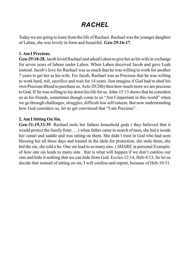# *RACHEL*

Today we are going to learn from the life of Rachael. Rachael was the younger daughter of Laban, she was lovely in form and beautiful. **Gen-29:16-17**.

#### **1. Am I Precious.**

**Gen-29:18-28**, Jacob loved Rachael and asked Laben to give her as his wife in exchange for seven years of labour under Laben. When Laben deceived Jacob and gave Leah instead. Jacob's love for Rachael was so much that he was willing to work for another 7 years to get her as his wife. For Jacob, Rachael was so Precious that he was willing to work hard, toil, sacrifice and wait for 14 years. Just imagine if God had to shed his own Precious Blood to purchase us. Acts-20:28b) then how much more we are precious to God. If he was willing to lay down his life for us. John-15:13 shows that he considers us as his friends. sometimes though come to us "Am I important in this world" when we go through challenges, struggles, difficult low self esteem. But now understanding how God considers us, let us get convinced that "I am Precious".

#### **2. Am I Sitting On Sin.**

**Gen-31:19,33-35**. Rachael stole her fathers household gods ( they believed that it would protect the family from ….) when father came in search of men, she hid it inside her camel and saddle and was sitting on them. She didn't trust in God who had seen blessing her all these days and trusted in the idols for protection, she stole them, she hid the sin, she told a lie. One sin lead to so many sins. ( SHARE )a personal Example: of how one sin leads to many sins . that is what will happen if we don't confess our sins and hide it nothing that we can hide from God. Eccles-12:14, Heb-4:13, So let us decide that instead of sitting on sin, I will confess and repent, because of Heb-10:31.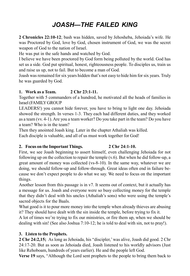# *JOASH—THE FAILED KING*

**2 Chronicles 22:10-12**; bash was hidden, saved by Jehosheba, Jehoiada's wife. He was Proctored by God, love by God, chosen instrument of God, we was the secret weapon of God to the nation of Israel.

He was put in the safe hands and watched by God.

I believe we have been proctored by God form being polluted by the world. God has set us a side. God put spiritual, honest, righteousness people. To disciples us, train us and raise us up, not to fail. But to become a man of God.

Joash was remained for six years hidden that's not easy to hide him for six years. Truly he was guarded by God.

# **1. Work as a Team. 2 Chr 23:1-11.**

Together with 5 commanders of a hundred, he motivated all the heads of families in Israel (FAMILY GROUP

LEADERS!) you cannot hide forever, you have to bring to light one day. Jehoiada showed the strength. In verses 1-3. They each had different duties, and they worked as a team (vv. 4-1). Are you a team worker? Do you take part in the team? Do you have a team? Who is in the team?

Then they anointed Joash king. Later in the chapter Athaliah was killed. Each disciple is valuable, and all of us must work together for God!

# **2. Focus on the Important Things. 2 Chr 24:1-10.**

First, we see Joash beginning to assert himself, even challenging Jehoiada for not following up on the collection to repair the temple  $(v, 6)$ . But when he did follow-up, a great amount of money was collected (vs-8-10). In the same way, whatever we are doing, we should follow-up and follow-through. Great ideas often end in failure because we don't expect people to do what we say. We need to focus on the important things.

Another lesson from this passage is in v7. It seems out of context, but it actually has a message for us. Joash and everyone were so busy collecting money for the temple that they didn't deal with his uncles (Athaliah's sons) who were using the temple's sacred objects for the Baals.

What good is it to pour more money into the temple when already thieves are abusing it? They should have dealt with the sin inside the temple, before trying to fix it.

A lot of times we're trying to fix our ministries, or fire them up, when we should be dealing with sin! (See also Joshua 7:10-12; he is told to deal with sin, not to pray!).

# **3. Listen to the Prophets.**

**2 Chr 24:2,15;** As long as Jehoiada, his "discipler,' was alive, Joash did good. 2 Chr 24:17-20. But as soon as Jehoiada died, Joash listened to his worldly advisors (Just like Rehoboam, hundreds of years earlier). He and the people left God.

**Verse 19** says, "Although the Lord sent prophets to the people to bring them back to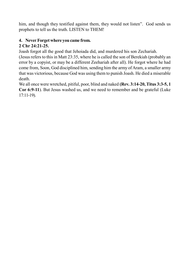him, and though they testified against them, they would not listen". God sends us prophets to tell us the truth. LISTEN to THEM!

# **4. Never Forget where you came from.**

# **2 Chr 24:21-25.**

Joash forgot all the good that Jehoiada did, and murdered his son Zechariah.

(Jesus refers to this in Matt 23:35, where he is called the son of Berekiah (probably an error by a copyist, or may be a different Zeehariah after all). He forgot where he had come from, Soon, God disciplined him, sending him the army of Aram, a smaller army that was victorious, because God was using them to punish Joash. He died a miserable death.

We all once were wretched, pitiful, poor, blind and naked **(Rev. 3:14-20, Titus 3:3-5, 1 Cor 6:9-11**). But Jesus washed us, and we need to remember and be grateful (Luke 17:11-19).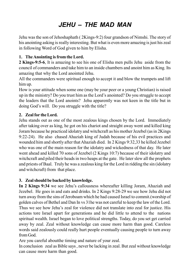# *JEHU – THE MAD MAN*

Jehu was the son of Jehoshaphath ( 2Kings-9:2) four grandson of Nimshi. The story of his anointing asking is really interesting. But what is even more amazing is just his zeal in following Word of God given to him by Elisha.

# **1. The Anointing is from the Lord.**

**2 Kings-9:5-6**, It is amazing to see his one of Elisha men pulls Jehu aside from the council of commanders and take him to an inside chambers and anoint him as King. Its amazing that why the Lord anointed Jehu.

All the commanders were spiritual enough to accept it and blow the trumpets and lift him up.

How is your attitude when some one (may be your peer or a young Christian) is raised up in the ministry? Do you trust him as the Lord's anointed? Do you struggle to accept the leaders that the Lord anoints? Jehu apparently was not keen in the title but in doing God's will. Do you struggle with the title?

# **2. Zeal for the Lord.**

Jehu stands out as one of the most zealous kings chosen by the Lord. Immediately after taking over as king, he got on his chariot and straight away went and killed king Joram because he practiced idolatry and witchcraft as his mother Jezebel (as in 2Kings 9:22-24). He also chased Ahaziah king of Judah because of his evil practices and wounded him and shortly after that Ahaziah died. In 2 Kings 9:32,33 he killed Jezebel who was one of the main reason for the idolatry and wickedness of that day. He later went ahead and killed 70 sons of Jezebel (2 Kings 10:7) because of their idolatry and witchcraft and piled their heads in two heaps at the gate. He later slew all the prophets and priests of Baal. Truly he was a zealous king for the Lord in ridding the sin (idolatry and witchcraft) from that place.

# **3. Zeal should be backed by knowledge.**

**In 2 Kings 9:34** we see Jehu's callousness whereafter killing Joram, Ahaziah and Jezebel. He goes in and eats and drinks. In 2 Kings 9:28-29 we see how Jehu did not turn away from the sins of Jeroboam which he had caused Israel to commit.(worship of golden calves of Bethel and Dan In vs 31he was not careful to keep the law of the Lord. Thus we see how Jehu's zeal for violence did not translate into zeal for justice. His actions tore Israel apart for generations and he did little to attend to the nations spiritual wealth. Israel began to love political strengths. Today, do you set get carried away by zeal. Zeal without knowledge can cause more harm than good. Careless words said zealously could really hurt people eventually causing people to turn away from God.

Are you careful aboutthe timing and nature of your zeal.

In conclusion zeal as Bible says , never be lacking in zeal. But zeal without knowledge can cause more harm than good.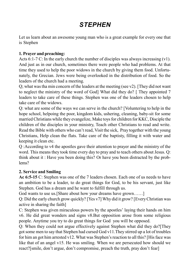# *STEPHEN*

Let us learn about an awesome young man who is a great example for every one that is Stephen

### **1. Prayer and preaching:**

Acts 6:1-7 C: In the early church the number of disciples was always increasing  $(v1)$ . And just as in our church, sometimes there were people who had problems. At that time they used to help the poor widows in the church by giving them food. Unfortunately, the Grecian. Jews were being overlooked in the distribution of food. So the leaders of the church had a meeting.

Q; what was tha min concern of the leaders at the meeting (see v2). [They did not want to neglect the ministry of the word of God] What did they do? [ They appointed 7 leaders to take care of these things. Stephen was one of the leaders chosen to help take care of the widows.

Q: what are some of the ways we can serve in the church? [Voluntering to help in the hope school, helpoing the poor, kingdom kids, ushering, cleaning, baby-sit for some married Christians while they evangelize, Make toys for children for KKC, Disciple the children of the disciples in your ministry, Teach other Christians to read and write. Read the Bible with others who can't read, Visit the sick, Pray together with the young Christians, Help clean the flats. Take care of the baptisty, filling it with water and keeping it clean etc.

Q :According to v4 the apostles gave their attention to prayer and the ministry of the word. This means they took time every day to pray and to teach others about Jesus. Q: think about it : Have you been doing this? Or have you been distracted by the problems?

# **2. Service and Smiling**

**Ac 6:5-15** C: Stephen was one of the 7 leaders chosen. Each one of us needs to have an ambition to be a leader, to do great things for God, to be his servant, just like Stephen. God has a dream and he want to fulfill through us.

God wants to use us. [Share about how your dreams have grown......]

Q: Did the early church grow quickly? [Yes v7] Why did it grow? [Every Christian was active in sharing the faith]

C: Stephen was given miraculous powers by the apostles' laying their hands on him v6. He did great wonders and signs v8.But opposition arose from some religious people. Anytime you try to do great things for God you will be opposed.

Q: When they could not argue effectively against Stephen what did they do?[They got some men to say that Stephen had cursed God v11.They stirred up a lot of troubles for him an got him arrested v12. What was Stephen's reaction to all this? [His face was like that of an angel v15. He was smiling. When we are persecuted how should we react?[smile, don't argue, don't compromise, preach the truth, pray don't fear]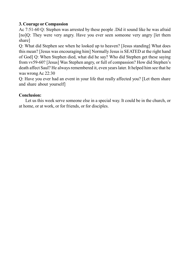# **3. Courage or Compassion**

Ac 7:51-60 Q: Stephen was arrested by these people .Did it sound like he was afraid [no]Q: They were very angry. Have you ever seen someone very angry [let them share]

Q: What did Stephen see when he looked up to heaven? [Jesus standing] What does this mean? [Jesus was encouraging him] Normally Jesus is SEATED at the right hand of God] Q: When Stephen died, what did he say? Who did Stephen get these saying from vv59-60? [Jesus] Was Stephen angry, or full of compassion? How did Stephen's death affect Saul? He always remembered it, even years later. It helped him see that he was wrong Ac 22:30

Q: Have you ever had an event in your life that really affected you? [Let them share and share about yourself]

# **Conclusion:**

Let us this week serve someone else in a special way. It could be in the church, or at home, or at work, or for friends, or for disciples.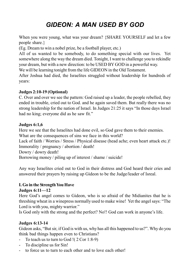# *GIDEON: A MAN USED BY GOD*

When you were young, what was your dream? {SHARE YOURSELF and let a few people share.}

(Eg. Dream to win a nobel prize, be a football player, etc.)

All of us wanted to be somebody, to do something special with our lives. Yet somewhere along the way the dream died. Tonight, I want to challenge you to rekindle your dream, but with a new direction: to be USED BY GOD in a powerful way.

We will be learning tonight from the life GIDEON in the Old Testament.

After Joshua had died, the Israelites struggled without leadership for hundreds of years:

### **Judges 2:10-19 (Optional)**

C. Over and over we see the pattern: God raised up a leader, the people rebelled, they ended in trouble, cried out to God. and he again saved them. But really there was no strong leadership for the nation of Israel. In Judges 21:25 it says "In those days Israel had no king; everyone did as he saw fit."

### **Judges 6:1,6**

Here we see that the Israelites had done evil, so God gave them to their enemies. What are the consequences of sins we face in this world?

Lack of faith / Worries / Stress / Physical disease (head ache; even heart attack etc.)! Immorality / pregnancy / abortion / death!

Dowry / dowry death!

Borrowing money / piling up of interest / shame / suicide!

Any way Israelites cried out to God in their distress and God heard their cries and answered their prayers by raising up Gideon to be the Judge/leader of Isreal.

### **I. Go in the Strength You Have**

### **Judges 6:11—12**

Here God's angel comes to Gideon, who is so afraid of the Midianites that he is threshing wheat in a winepress normally used to make wine! Yet the angel says: "The Lord is with you, mighty warrior."

Is God only with the strong and the perfect? No!! God can work in anyone's life.

# **Judges 6:13-14**

Gideon asks, "But sir, if God is with us, why has all this happened to us?". Why do you think bad things happen even to Christians?

- To teach us to turn to God !( 2 Cor 1:8-9)
- To discipline us for Sin!
- to force us to turn to each other and to love each other!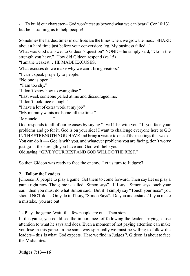- To build our character – God won't test us beyond what we can bear (1Cor 10:13), but he is training us to help people!

Sometimes the hardest times in our lives are the times when, we grow the most. SHARE about a hard time just before your conversion: [eg. My business failed...]

What was God's answer to Gideon's question? NONE – he simply said, "Go in the strength you have." How did Gideon respond (vs.15)

"I am the weakest …HE MADE EXCUSES.

What excuses do we make why we can't bring visitors?

"I can't speak properly to people."

"No one is open."

"I am too shy."

"I don't know how to evangelise."

"Last week someone yelled at me and discouraged me.'

"I don't look nice enough"

"I have a lot of extra work at my job"

"My mummy wants me home all the time."

"My uncle……….."

God responds to all of our excuses by saying "I wi11 be with you." If you face your problems and go for it, God is on your side! I want to challenge everyone here to GO IN THE STRENGTH YOU HAVE and bring a visitor to one of the meetings this week.. You can do it —- God is with you. and whatever problems you are facing, don't worry just go in the strength you have and God will help you.

Old saying: "GIVE YOUR BEST AND GOD WILL DO THE REST."

So then Gideon was ready to face the enemy. Let us turn to Judges:7

# **2. Follow the Leaders**

[Choose 10 people to play a game. Get them to come forward. Then say Let us play a game right now. The game is called "Simon says" . If I say "Simon says touch your ear." then you must do what Simon said. But if l simply say "Touch your nose" you should NOT do it. Only do it if I say, "Simon Says". Do you understand? If you make a mistake, you are out!

1 - Play the game. Wait till a few people are out. Then stop.

In this game, you could see the importance of following the leader, paying close attention to what he says and does. Even a moment of not paying attention can make you lose in this game. In the same way spiritually we must be willing to follow the leaders – this is what. God expects. Here we find in Judges 7, Gideon is about to face the Midianites.

### **Judges 7:13—16**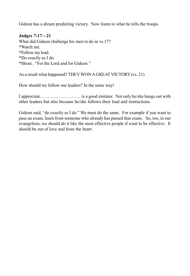Gideon has a dream predicting victory. Now listen to what he tells the troops.

#### **Judges 7:17—21**

What did Gideon challenge his men to do in vs.17? \*Watch me. \*Follow my lead. \*Do exactly as I do. \*Shout , "For the Lord and for Gideon."

As a result what happened? THEY WON A GREAT VICTORY (vs. 21)

How should we follow our leaders? In the same way!

I appreciate……………………… is a good imitator. Not only he/she hangs out with other leaders but also because he/she follows their lead and instructions.

Gideon said, "do exactly as I do." We must do the same. For example if you want to pass an exam, learn from someone who already has passed that exam. So, too, in our evangelism, we should do it like the most effective people if want to be effective. It should be out of love and from the heart.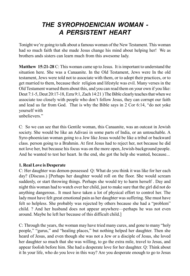# *THE SYROPHOENICIAN WOMAN - A PERSISTENT HEART*

Tonight we're going to talk about a famous woman of the New Testament. This woman had so much faith that she made Jesus change his mind about helping her! We as brothers ands sisters can learn much from this awesome lady.

**Matthew 15:21-28** C: This woman came up to Jesus. It is important to understand the situation here. She was a Canaanite. In the Old Testament, Jews were In the old testament, Jews were told not to associate with them, or to adopt their practices, or to get married to them, because their religion and lifestyle was evil. Many verses in the Old Testament warned them about this, and you can read them on your own if you like: Deut 7:1-5, Deut 20:17-18, Ezra 9:1, Zach 14:21 ) The Bible clearly teaches that when we associate too closely with people who don't follow Jesus, they can corrupt our faith and lead us far from God. That is why the Bible says in 2 Cor 6:14, "do not yoke yourself with

unbelievers."

C: So we can see that this Gentile woman, this Canaanite, was an outcast in Jewish society. She would be like an Adivasi in some parts of India, or an untouchable. A Syro-phoenician woman going to a Jew like Jesus would be like a tribal or backward class. person going to a Brahmin. At first Jesus had to reject her, not because he did not love her, but because his focus was on the more open, Jewish-background people. And he wanted to test her heart. In the end, she got the help she wanted, because...

### **1. Real Love is Desperate**

C: Her daughter was demon-possessed Q: What do you think it was like for her each day? (Discuss.) [Perhaps her daughter would roll on the floor. She would scream suddenly, or start throwing things. Perhaps she would try to harm herself . Day and night this woman had to watch over her child, just to make sure that the girl did not do anything dangerous.. It must have taken a lot of physical effort to control her. The lady must have felt great emotional pain as her daughter was suffering. She must have felt so helpless. She probably was rejected by others because she had a "problem" child. ? And her husband does not appear anywhere—perhaps he was not even around. Maybe he left her because of this difficult child.]

C: Through the years, the woman may have tried many cures, and gone to many "holy people," "gurus," and "healing places," but nothing helped her daughter. Then she heard of Jesus, and even though she was not a Jew or a disciple of Jesus, she loved her daughter so much that she was willing, to go the extra mile, travel to Jesus, and appear foolish before him. She had a desperate love for her daughter. Q: Think about it In your life, who do you love in this way? Are you desperate enough to go to Jesus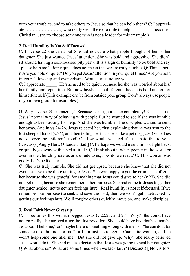with your troubles, and to take others to Jesus so that he can help them? C: I appreciate ……………………, who really went the extra mile to help \_\_\_\_\_\_\_\_\_\_become a Christian... (try to choose someone who is not a leader for this example.)

# **2. Real Humility Is Not Self Focused**

C: In verse 22 she cried out She did not care what people thought of her or her daughter. She just wanted Jesus' attention. She was bold and aggressive. She didn't sit around having a self-focused pity party. It is a sign of humility to be bold and say, "please help me." Being quiet does not mean that we are truly humble. Q: Think about it Are you bold or quiet? Do you get Jesus' attention in your quiet times? Are you bold in your fellowship and evangelism? Would Jesus notice you?

C: I appreciate He/she used to be quiet, because he/she was worried about his/ her family and reputation. But now he/she is so different—he/she is bold and out of himself/herself (This example can be from outside your group. Don't always use people in your own group for examples.)

Q: Why is verse 23 so amazing? [Because Jesus ignored her completely!] C: This is not Jesus' normal way of behaving with people But he wanted to see if she was humble enough to keep asking for help. And she was humble. The disciples wanted to send her away, And in vs.24-26, Jesus rejected her, first explaining that he was sent to the lost sheep of Israel (v.24), and then telling her that she is like a pet dog (v.26) who does not deserve the children's food! Q: How would you feel if Jesus said this to you? (Discuss) [ Angry Hurt. Offended. Sad.] C: Perhaps we would insult him, or fight back, or quietly go away with a bed attitude. Q Think about it when people in the world or even in the church ignore us or are rude to us, how do we react? C: This woman was godly. Let's be like her.

C: She was truly humble. She did not get upset, because she knew that she did not even deserve to be there talking to Jesus. She was happy to get the crumbs he offered her because she was grateful for anything that Jesus could give to her (v.27). She did not get upset, because she remembered her purpose. She had come to Jesus to get her daughter healed, not to get her feelings hurt). Real humility is not self-focused. If we remember our purpose (to seek and save the lost), then we won't get sidetracked by getting our feelings hurt. We'll forgive others quickly, move on, and make disciples.

# **3. Real Faith Never Gives up**

C: Three times this woman begged Jesus (v.22,25, and 27)! Why? She could have gotten really discouraged after the first rejection. She could have had doubts "maybe Jesus can't help me," or "maybe there's something wrong with me," or "he can do it for someone else, but not for me," or I am just a stranger, a Caananite woman, and he won't help some one like, me." But she did not give up. Why? She really believed Jesus would do it. She had made a decision that Jesus was going to heal her daughter. Q What about us? What are some times when we lack faith? (Discuss.) [ No visitors.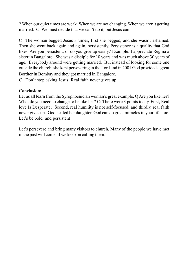? When our quiet times are weak. When we are not changing. When we aren't getting married. C: We must decide that we can't do it, but Jesus can!

C: The woman begged Jesus 3 times, first she begged, and she wasn't ashamed. Then she went back again and again, persistently. Persistence is a quality that God likes. Are you persistent, or do you give up easily? Example: I appreciate Regina a sister in Bangalore. She was a disciple for 10 years and was much above 30 years of age. Everybody around were getting married. But instead of looking for some one outside the church, she kept persevering in the Lord and in 2001 God provided a great Borther in Bombay and they got married in Bangalore.

C: Don't stop asking Jesus! Real faith never gives up.

### **Conclusion:**

Let us all learn from the Syrophoenician woman's great example. Q Are you like her? What do you need to change to be like her? C: There were 3 points today. First, Real love Is Desperate; Second, real humility is not self-focused; and thirdly, real faith never gives up. God healed her daughter. God can do great miracles in your life, too. Let's be bold and persistent!

Let's persevere and bring many visitors to church. Many of the people we have met in the past will come, if we keep on calling them.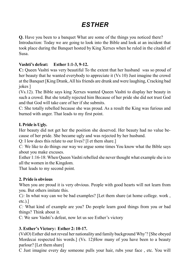# *ESTHER*

**Q.** Have you been to a banquet What are some of the things you noticed there? Introduction: Today we are going to look into the Bible and look at an incident that took place during the Banquet hosted by King Xerxes when he ruled in the citadel of Susa.

### **Vashti's defeat: Esther 1:1-3, 9-12.**

**C:** Queen Vashti was very beautiful To the extent that her husband *w*as so proud of her beauty that he wanted everybody to appreciate it (Vs 10) Just imagine the crowd at the Banquet [King Drank, All his friends are drunk and were laughing, Cracking bad jokes ]

(Vs.12). The Bible says king Xerxes wanted Queen Vashti to display her beauty in such a crowd. But she totally rejected him Because of her pride she did not trust God and that God will take care of her if she submits.

C: She totally rebelled because she was proud. As a result the King was furious and burned with anger. That leads to my first point.

### **I. Pride is Ugly.**

Her beauty did not get her the position she deserved. Her beauty had no value because of her pride. She became ugly and was rejected by her husband.

Q: I low does this relate to our lives? [I et them share.]

*C:* We like to do things our way we argue some times You know what the Bible says about you make excuses.

Esther 1:16-18: When Queen Vashti rebelled she never thought what example she is to all the women in the Kingdom.

That leads to my second point.

### **2. Pride is obvious**

When you are proud it is very obvious. People with good hearts will not learn from you. But others imitate this.

*C):* In what way can we be bad examples? [Let them share (at home college. work , etc.).]

*C:* What kind of example are you? Do people learn good things from you or bad things? Think about it.

C: We saw Vashti's defeat, now let us see Esther's victory

# **3. Esther's Victory: Esther 2: 10-17.**

(VslO) Esther did not reveal her nationality and family background Why'? [She obeyed Mordecai respected his words.] (Vs. 12)How many of you have been to a beauty parlour? [Let them share]

C Just imagine every day someone pulls your hair, rubs your face , etc. You will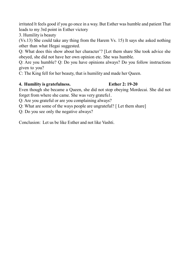irritated lt feels good if you go once in a way. But Esther was humble and patient That leads to my 3rd point in Esther victory

3. Humility is beauty

(Vs.13) She could take any thing from the Harem Vs. 15) It says she asked nothing other than what Hegai suggested.

Q: What does this show about her character'? [Let them share She took advice she obeyed, she did not have her own opinion etc. She was humble.

Q: Are you humble? Q: Do you have opinions always? Do you follow instructions given to you?

C: The King fell for her beauty, that is humility and made her Queen.

### **4. Humility is gratefulness. Esther 2: 19-20**

Even though she became a Queen, she did not stop obeying Mordecai. She did not forget from where she came. She was very gratefu1.

Q: Are you grateful or are you complaining always?

Q: What are some of the ways people are ungrateful? [ Let them share]

Q: Do you see only the negative always?

Conclusion: Let us be like Esther and not like Vashti.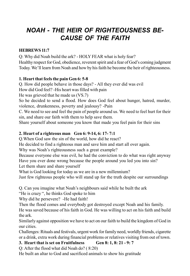# *NOAH - THE HEIR OF RIGHTEOUSNESS BE-CAUSE OF THE FAITH*

### **HEBREWS 11:7**

Q: Why did Noah build the ark? - HOLY FEAR what is holy fear? Healthy respect for God, obedience, reverent spirit and a fear of God's coming judgment Today. We'll learn from Noah and how by his faith he become the heir of righteousness.

### **1. Heart that feels the pain Gen 6: 5-8**

Q. How did people behave in those days? - All they ever did was evil How did God feel? -His heart was filled with pain

He was grieved that he made us (VS.7)

So he decided to send a flood. How does God feel about hunger, hatred, murder, violence, drunkenness, poverty and jealousy? -Pain

C. We need to see and feel the pain of people around us. We need to feel hurt for their sin, and share our faith with them to help save them.

Share yourself about someone you know that made you feel pain for their sins

# **2. Heart of a righteous man Gen 6: 9-14, 6: 17- 7:1**

Q.When God saw the sin of the world, how did he react?

He decided to find a righteous man and save him and start all over again.

Why was Noah's righteousness such a great example?

Because everyone else was evil, he had the conviction to do what was right anyway Have you ever done wrong because the people around you led you into sin? Let them share and share yourself

What is God looking for today as we are in a new millennium?

Just few righteous people who will stand up for the truth despite our surroundings

Q. Can you imagine what Noah's neighbours said while he built the ark

"He is crazy ", he thinks God spoke to him

Why did he persevere? -He had faith!

Then the flood comes and everybody got destroyed except Noah and his family.

He was saved because of his faith in God. He was willing to act on his faith and build the ark.

Similarly against opposition we have to act on our faith to build the kingdom of God in our cities.

Challenges: Rituals and festivals, urgent work for family need, worldly friends, cigarette or a drink, extra work during financial problems or relatives visiting from out of town.

# **3. Heart that is set on Fruitfulness Gen 8: 1, 8: 21 - 9: 7**

Q: After the flood what did Noah do? ( 8:20)

He built an altar to God and sacrificed animals to show his gratitude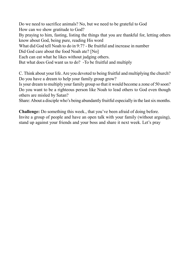Do we need to sacrifice animals? No, but we need to be grateful to God How can we show gratitude to God? By praying to him, fasting, listing the things that you are thankful for, letting others know about God, being pure, reading His word What did God tell Noah to do in 9:7? - Be fruitful and increase in number Did God care about the food Noah ate? [No] Each can eat what he likes without judging others. But what does God want us to do? -To be fruitful and multiply

C. Think about your life. Are you devoted to being fruitful and multiplying the church? Do you have a dream to help your family group grow?

Is your dream to multiply your family group so that it would become a zone of 50 soon? Do you want to be a righteous person like Noah to lead others to God even though others are misled by Satan?

Share: About a disciple who's being abundantly fruitful especially in the last six months.

**Challenge:** Do something this week., that you've been afraid of doing before. Invite a group of people and have an open talk with your family (without arguing), stand up against your friends and your boss and share it next week. Let's pray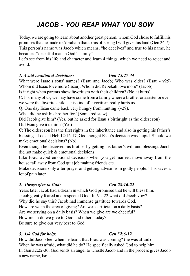# *JACOB - YOU REAP WHAT YOU SOW*

Today, we are going to learn about another great person, whom God chose to fulfill his promises that he made to Abraham that to his offspring I will give this land (Gen 24:7). This person's name was Jacob which means, "he deceives" and true to his name, he became a "deceitful man in God's family".

Let's see from his life and character and learn 4 things, which we need to reject and avoid.

#### *1. Avoid emotional decisions: Gen 25:27-34*

What were Isaac's sons' names? (Esau and Jacob) Who was older? (Esau - v25) Whom did Isaac love more (Esau). Whom did Rebekah love more? (Jacob).

Is it right when parents show favoritism with their children? (No, it hurts)

C: For many of us, we may have come from a family where a brother or a sister or even we were the favorite child. This kind of favoritism really hurts us.

Q: One day Esau came back very hungry from hunting (v29).

What did he ask his brother for? (Some red stew).

Did Jacob give him? (Yes, but he asked for Esau's birthright as the oldest son) Did Esau give it to him? (Yes)

C: The oldest son has the first rights in the inheritance and also in getting his father's blessings. Look at Heb 12:16-17, God thought Esau's decision was stupid. Should we make emotional decisions? (No)

Even though he deceived his brother by getting his father's will and blessings Jacob did not make quick & emotional decisions.

Like Esau, avoid emotional decisions when you get married move away from the house fall away from God quit job making friends etc.

Make decisions only after prayer and getting advise from godly people. This saves a lot of pain later.

### *2. Always give to God: Gen 28:16-22*

Years later Jacob had a dream in which God promised that he will bless him. Jacob greatly feared and respected God. In Vs. 22 what did Jacob vow? Why did he say this? Jacob had immense gratitude towards God. How are we in the area of giving? Are we sacrificial on a daily basis? Are we serving on a daily basis? When we give are we cheerful? How much do we give to God and others today? Be sure to give our very best to God.

### *3. Ask God for help: Gen 32:6-12*

How did Jacob feel when he learnt that Esau was coming? (he was afraid) When he was afraid, what did he do? He specifically asked God to help him. In Gen 32:22-30, God sends an angel to wrestle Jacob and in the process gives Jacob a new name, Israel.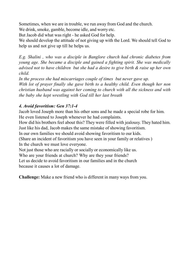Sometimes, when we are in trouble, we run away from God and the church.

We drink, smoke, gamble, become idle, and worry etc.

But Jacob did what was right - he asked God for help.

We should develop the attitude of not giving up with the Lord. We should tell God to help us and not give up till he helps us.

*E.g. Shalini , who was a disciple in Banglore church had chronic diabetes from young age. She became a disciple and gained a fighting spirit. She was medically advised not to have children but she had a desire to give birth & raise up her own child.*

*In the process she had miscarriages couple of times but never gave up. With lot of prayer finally she gave birth to a healthy child. Even though her non christian husband was against her coming to church with all the sickness and with the baby she kept wrestling with God till her last breath*

# *4. Avoid favoritism: Gen 37:1-4*

Jacob loved Joseph more than his other sons and he made a special robe for him. He even listened to Joseph whenever he had complaints.

How did his brothers feel about this? They were filled with jealousy. They hated him. Just like his dad, Jacob makes the same mistake of showing favoritism.

In our own families we should avoid showing favoritism to our kids.

(Share an incident of favoritism you have seen in your family or relatives ) In the church we must love everyone.

Not just those who are racially or socially or economically like us.

Who are your friends at church? Why are they your friends?

Let us decide to avoid favoritism in our families and in the church because it causes a lot of damage.

**Challenge:** Make a new friend who is different in many ways from you.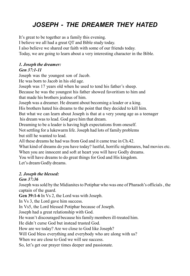# *JOSEPH - THE DREAMER THEY HATED*

It's great to be together as a family this evening.

I believe we all had a great QT and Bible study today.

I also believe we shared our faith with some of our friends today.

Today, we are going to learn about a very interesting character in the Bible.

# *1. Joseph the dreamer:*

# *Gen 37:1-11*

Joseph was the youngest son of Jacob.

He was born to Jacob in his old age.

Joseph was 17 years old when he used to tend his father's sheep.

Because he was the youngest his father showed favoritism to him and that made his brothers jealous of him.

Joseph was a dreamer. He dreamt about becoming a leader or a king.

His brothers hated his dreams to the point that they decided to kill him.

But what we can learn about Joseph is that at a very young age as a teenager

his dream was to lead. God gave him that dream.

Dreaming to be a leader is having high expectations from oneself.

Not settling for a lukewarm life. Joseph had lots of family problems but still he wanted to lead.

All these dreams he had was from God and it came true in Ch.42.

What kind of dreams do you have today? lustful, horrific nightmares, bad movies etc.

When you are innocent and soft at heart you will have Godly dreams.

You will have dreams to do great things for God and His kingdom.

Let's dream Godly dreams.

# *2. Joseph the blessed:*

# *Gen 37:36*

Joseph was sold by the Midianites to Potiphar who was one of Pharaoh's officials , the captain of the guard.

**Gen 39:1-6** In Vs 2, the Lord was with Joseph.

In Vs 3, the Lord gave him success.

In Vs5, the Lord blessed Potiphar because of Joseph.

Joseph had a great relationship with God.

He wasn't discouraged because his family members ill-treated him.

He didn't curse God but instead trusted God.

How are we today? Are we close to God like Joseph?

Will God bless everything and everybody who are along with us?

When we are close to God we will see success.

So, let's get our prayer times deeper and passionate.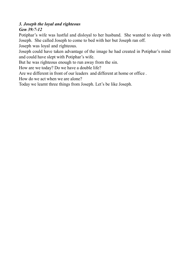# *3. Joseph the loyal and righteous*

# *Gen 39:7-12*

Potiphar's wife was lustful and disloyal to her husband. She wanted to sleep with Joseph. She called Joseph to come to bed with her but Joseph ran off.

Joseph was loyal and righteous.

Joseph could have taken advantage of the image he had created in Potiphar's mind and could have slept with Potiphar's wife.

But he was righteous enough to run away from the sin.

How are we today? Do we have a double life?

Are we different in front of our leaders and different at home or office .

How do we act when we are alone?

Today we learnt three things from Joseph. Let's be like Joseph.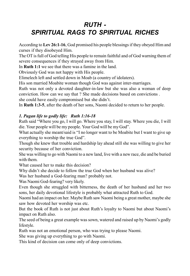# *RUTH - SPIRITUAL RAGS TO SPIRITUAL RICHES*

According to **Lev 26:1-16**, God promised his people blessings if they obeyed Him and curses if they disobeyed Him.

The OT is full of God telling His people to remain faithful and of God warning them of severe consequences if they strayed away from Him.

In **Ruth 1:1** we see that there was a famine in the land.

Obviously God was not happy with His people.

Elimelech left and settled down in Moab (a country of idolaters).

His son married Moabite woman though God was against inter-marriages.

Ruth was not only a devoted daughter-in-law but she was also a woman of deep conviction. How can we say that ? She made decisions based on convictions .

she could have easily compromised but she didn't.

In **Ruth 1:3-5**, after the death of her sons, Naomi decided to return to her people.

# *1. Pagan life to godly life: Ruth 1:16-18*

Ruth said "Where you go, I will go. Where you stay, I will stay. Where you die, I will die. Your people will be my people. Your God will be my God".

What actually she meant/said is "I no longer want to be Moabite but I want to give up everything to worship the true God".

Though she knew that trouble and hardship lay ahead still she was willing to give her security because of her conviction.

She was willing to go with Naomi to a new land, live with a new race, die and be buried with them.

What caused her to make this decision?

Why didn't she decide to follow the true God when her husband was alive?

Was her husband a God-fearing man? probably not.

Was Naomi God-fearing? very likely.

Even though she struggled with bitterness, the death of her husband and her two sons, her daily devotional lifestyle is probably what attracted Ruth to God.

Naomi had an impact on her. Maybe Ruth saw Naomi being a great mother, maybe she saw how devoted her worship was etc.

But the book of Ruth is not just about Ruth's loyalty to Naomi but about Naomi's impact on Ruth also.

The seed of being a great example was sown, watered and raised up by Naomi's godly lifestyle.

Ruth was not an emotional person, who was trying to please Naomi.

She was giving up everything to go with Naomi.

This kind of decision can come only of deep convictions.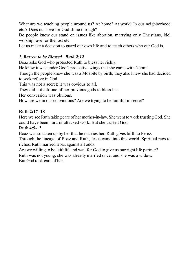What are we teaching people around us? At home? At work? In our neighborhood etc.? Does our love for God shine through?

Do people know our stand on issues like abortion, marrying only Christians, idol worship love for the lost etc.

Let us make a decision to guard our own life and to teach others who our God is.

### *2. Barren to be Blessed Ruth 2:12*

Boaz asks God who protected Ruth to bless her richly.

He knew it was under God's protective wings that she came with Naomi.

Though the people knew she was a Moabite by birth, they also knew she had decided to seek refuge in God.

This was not a secret; it was obvious to all.

They did not ask one of her previous gods to bless her.

Her conversion was obvious.

How are we in our convictions? Are we trying to be faithful in secret?

### **Ruth 2:17 -18**

Here we see Ruth taking care of her mother-in-law. She went to work trusting God. She could have been hurt, or attacked work. But she trusted God.

### **Ruth 4:9-12**

Boaz was so taken up by her that he marries her. Ruth gives birth to Perez.

Through the lineage of Boaz and Ruth, Jesus came into this world. Spiritual rags to riches. Ruth married Boaz against all odds.

Are we willing to be faithful and wait for God to give us our right life partner? Ruth was not young, she was already married once, and she was a widow. But God took care of her.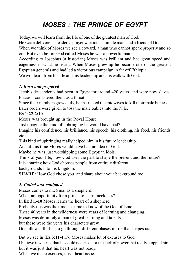# *MOSES : THE PRINCE OF EGYPT*

Today, we will learn from the life of one of the greatest man of God.

He was a deliverer, a leader, a prayer warrior, a humble man, and a friend of God.

When we think of Moses we see a coward, a man who cannot speak properly and so on. But even before God called Moses he was a powerful man.

According to Josephus (a historian) Moses was brilliant and had great speed and eagerness in what he learnt. When Moses grew up he became one of the greatest Egyptian generals and had led a victorious campaign in far off Ethiopia.

We will learn from his life and his leadership and his walk with God.

# *1. Born and prepared*

Jacob's descendents had been in Egypt for around 420 years, and were now slaves. Pharaoh considered them as a threat.

Since their numbers grew daily, he instructed the midwives to kill their male babies. Later orders were given to toss the male babies into the Nile.

# **Ex 1:22-2:10**

Moses was brought up in the Royal House

Just imagine the kind of upbringing he would have had?

Imagine his confidence, his brilliance, his speech, his clothing, his food, his friends etc.

This kind of upbringing really helped him in his future leadership.

And at this time Moses would have had no idea of God.

Maybe he was just worshipping some Egyptian idols.

Think of your life, how God uses the past to shape the present and the future?

It is amazing how God chooses people from entirely different

backgrounds into his kingdom.

**SHARE:** How God chose you, and share about your background too.

# *2. Called and equipped*

Moses comes to mt. Sinai as a shepherd.

What an opportunity for a prince to learn meekness?

In **Ex 3:1-10** Moses learns the heart of a shepherd.

Probably this was the time he came to know of the God of Israel.

These 40 years in the wilderness were years of learning and changing.

Moses was definitely a man of great learning and talents,

but these were the years his characters grew.

God allows all of us to go through different phases in life that shapes us.

But we see in **Ex 3:11-4:17,** Moses makes lot of excuses to God.

I believe it was not that he could not speak or the lack of power that really stopped him, but it was just that his heart was not ready.

When we make excuses, it is a heart issue.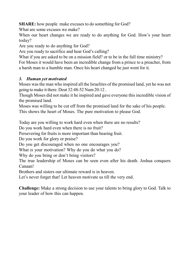**SHARE:** how people make excuses to do something for God?

What are some excuses we make?

When our heart changes we are ready to do anything for God. How's your heart today?

Are you ready to do anything for God?

Are you ready to sacrifice and hear God's calling?

What if you are asked to be on a mission field? or to be in the full time ministry? For Moses it would have been an incredible change from a prince to a preacher, from a harsh man to a humble man. Once his heart changed he just went for it.

### *3. Human yet motivated*

Moses was the man who inspired all the Israelites of the promised land, yet he was not going to make it there. Deut 32:48-52 Num 20:12 .

Though Moses did not make it he inspired and gave everyone this incredible vision of the promised land.

Moses was willing to be cut off from the promised land for the sake of his people. This shows the heart of Moses. The pure motivation to please God.

Today are you willing to work hard even when there are no results?

Do you work hard even when there is no fruit?

Persevering for fruits is more important than bearing fruit.

Do you work for glory or praise?

Do you get discouraged when no one encourages you?

What is your motivation? Why do you do what you do?

Why do you bring or don't bring visitors?

The true leadership of Moses can be seen even after his death. Joshua conquers Canaan!

Brothers and sisters our ultimate reward is in heaven.

Let's never forget that! Let heaven motivate us till the very end.

**Challenge:** Make a strong decision to use your talents to bring glory to God. Talk to your leader of how this can happen.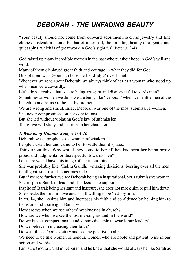# *DEBORAH - THE UNFADING BEAUTY*

"Your beauty should not come from outward adornment, such as jewelry and fine clothes. Instead, it should be that of inner self, the unfading beauty of a gentle and quiet spirit, which is of great work in God's sight ". (1 Peter 3: 3-4)

God raised up many incredible women in the past who put their hope in God's will and word.

Many of them displayed great faith and courage in what they did for God.

One of them was Deborah, chosen to be **'Judge'** over Israel.

Whenever we read about Deborah, we always think of her as a woman who stood up when men were cowardly.

Little do we realize that we are being arrogant and disrespectful towards men?

Sometimes as women we think we are being like 'Deborah' when we belittle men of the Kingdom and refuse to be led by brothers.

We are wrong and sinful. Infact Deborah was one of the most submissive women. She never compromised on her convictions,

But she led without violating God's law of submission.

Today, we will study and learn from her character

# *1. Woman of Honour Judges 4: 4-16*

Deborah was a prophetess, a women of wisdom.

People trusted her and came to her to settle their disputes.

Think about this! Why would they come to her, if they had seen her being bossy, proud and judgmental or disrespectful towards men?

I am sure we all have this image of her in our mind.

She was probably like 'Indira Gandhi' –making decisions, bossing over all the men, intelligent, smart, and sometimes rude.

But if we read further, we see Deborah being an inspirational, yet a submissive woman. She inspires Barak to lead and she decides to support.

Inspite of Barak being hesitant and insecure, she does not mock him or pull him down. She speaks the truth in love and is still willing to be 'led' by him.

In vs. 14, she inspires him and increases his faith and confidence by helping him to focus on God's strength. Barak wins!

How are we when we see others' weaknesses in church?

How are we when we see the lost messing around in the world?

Do we have a compassionate and submissive spirit towards our leaders?

Do we believe in increasing their faith?

Do we still see God's victory and see the positive in all?

We need to be like women of honour, women who are noble and patient, wise in our action and words.

I am sure God saw that in Deborah and he knew that she would always be like Sarah as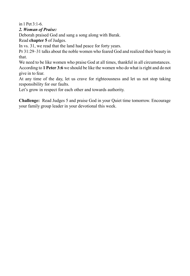in 1 Pet  $3:1-6$ .

### *2. Woman of Praise:*

Deborah praised God and sang a song along with Barak.

Read **chapter 5** of Judges.

In vs. 31, we read that the land had peace for forty years.

Pr 31:29–31 talks about the noble women who feared God and realized their beauty in that.

We need to be like women who praise God at all times, thankful in all circumstances. According to **1 Peter 3:6** we should be like the women who do what is right and do not give in to fear.

At any time of the day, let us crave for righteousness and let us not stop taking responsibility for our faults.

Let's grow in respect for each other and towards authority.

**Challenge:** Read Judges 5 and praise God in your Quiet time tomorrow. Encourage your family group leader in your devotional this week.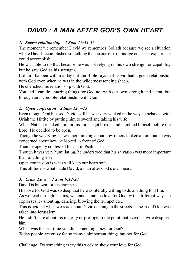# *DAVID : A MAN AFTER GOD'S OWN HEART*

#### *1. Secret relationship 1 Sam 17:32-37*

The moment we remember David we remember Goliath because we see a situation where David accomplished something that no one else of his age or size or experience could accomplish.

He was able to do that because he was not relying on his own strength or capability but he saw God as his strength.

It didn't happen within a day but the Bible says that David had a great relationship with God even when he was in the wilderness tending sheep.

He cherished his relationship with God.

You and I can do amazing things for God not with our own strength and talent, but through an incredible relationship with God.

#### *2. Open confession 2 Sam 12:7-13*

Even though God blessed David, still he was very wicked in the way he behaved with Uriah the Hittite by putting him to sword and taking his wife.

When Nathan rebuked him for his sin, he got broken and humbled himself before the Lord. He decided to be open.

Though he was King, he was not thinking about how others looked at him but he was concerned about how he looked in front of God.

Then he openly confessed his sin in Psalms 51.

Though it was very humiliating, he understood that his salvation was more important than anything else.

Open confession is what will keep our heart soft.

This attitude is what made David, a man after God's own heart.

#### *3. Crazy Love 2 Sam 6:12-23*

David is known for his craziness.

His love for God was so deep that he was literally willing to do anything for Him.

As we read through Psalms, we understand his love for God by the different ways he expresses it - shouting, dancing, blowing the trumpet etc..

This is evident when we read about David dancing in the streets as the ark of God was taken into Jerusalem.

He didn't care about his majesty or prestige to the point that even his wife despised him.

When was the last time you did something crazy for God?

Today people are crazy for so many unimportant things but not for God.

Challenge: Do something crazy this week to show your love for God.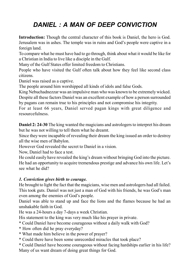# *DANIEL : A MAN OF DEEP CONVICTION*

**Introduction:** Though the central character of this book is Daniel, the hero is God. Jerusalem was in ashes. The temple was in ruins and God's people were captive in a foreign land.

To compare what he must have had to go through, think about what it would be like for a Christian in India to live like a disciple in the Gulf.

Many of the Gulf States offer limited freedom to Christians.

People who have visited the Gulf often talk about how they feel like second class citizens.

Daniel was raised as a captive.

The people around him worshipped all kinds of idols and false Gods.

King Nebuchadnezzar was an impulsive man who was known to be extremely wicked. Despite all these factors Daniel was an excellent example of how a person surrounded by pagans can remain true to his principles and not compromise his integrity.

For at least 66 years, Daniel served pagan kings with great diligence and resourcefulness.

**Daniel 2: 24-30** The king wanted the magicians and astrologers to interpret his dream but he was not willing to tell them what he dreamt.

Since they were incapable of revealing their dream the king issued an order to destroy all the wise men of Babylon.

However God revealed the secret to Daniel in a vision.

Now, Daniel had to face a test.

He could easily have revealed the king's dream without bringing God into the picture. He had an opportunity to acquire tremendous prestige and advance his own life. Let's see what he did?

#### *1. Conviction gives birth to courage.*

He brought to light the fact that the magicians, wise men and astrologers had all failed. This took guts. Daniel was not just a man of God with his friends, he was God's man even among the enemies of God's people.

Daniel was able to stand up and face the lions and the flames because he had an unshakable faith in God.

He was a 24-hours a day 7-days a week Christian.

His statement to the king was very much like his prayer in private.

\* Could Daniel have become courageous without a daily walk with God?

- \* How often did he pray everyday?
- \* What made him believe in the power of prayer?
- \* Could there have been some unrecorded miracles that took place?

\* Could Daniel have become courageous without facing hardships earlier in his life? Many of us want dream of doing great things for God.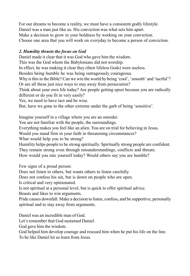For our dreams to become a reality, we must have a consistent godly lifestyle. Daniel was a man just like us. His conviction was what sets him apart. Make a decision to grow in your boldness by working on your conviction. Choose one area that you will work on everyday to become a person of conviction.

### *2. Humility thrusts the focus on God*

Daniel made it clear that it was God who gave him the wisdom.

This was the God whom the Babylonians did not worship.

In effect, he was making it clear they (their lifeless Gods) were useless.

Besides being humble he was being outrageously courageous.

Why is this in the Bible? Can we win the world by being 'cool', 'smooth' and 'tactful'? Or are all these just nice ways to stay away from persecution?

Think about your own life today? Are people getting upset because you are radically different or do you fit in very easily?

Yes, we need to have tact and be wise.

But, have we gone to the other extreme under the garb of being 'sensitive'.

Imagine yourself in a village where you are an outsider.

You are not familiar with the people, the surroundings.

Everything makes you feel like an alien. You are on trial for believing in Jesus.

Would you stand firm in your faith in threatening circumstances?

What would help you to be strong?

Humility helps people to be strong spiritually. Spiritually strong people are confident.

They remain strong even through misunderstandings, conflicts and threats.

How would you rate yourself today? Would others say you are humble?

Few signs of a proud person:

Does not listen to others, but wants others to listen carefully.

Does not confess his sin, but is down on people who are open.

Is critical and very opinionated.

Is not spiritual at a personal level, but is quick to offer spiritual advice.

Boasts and likes to win arguments.

Pride causes downfall. Make a decision to listen, confess, and be supportive, personally spiritual and to stay away from arguments.

Daniel was an incredible man of God.

Let's remember that God sustained Daniel.

God gave him the wisdom.

God helped him develop courage and rescued him when he put his life on the line.

To be like Daniel let us learn from Jesus.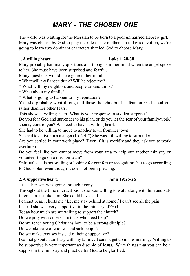## *MARY - THE CHOSEN ONE*

The world was waiting for the Messiah to be born to a poor unmarried Hebrew girl. Mary was chosen by God to play the role of the mother. In today's devotion, we're going to learn two dominant characters that led God to choose Mary.

#### **1. A willing heart. Luke 1:28-38**

Mary probably had many questions and thoughts in her mind when the angel spoke to her. She must have been surprised and fearful.

Many questions would have gone in her mind

\* What will my fiancee think? Will he reject me?

- \* What will my neighbors and people around think?
- \* What about my family?
- \* What is going to happen to my reputation?

Yes, she probably went through all these thoughts but her fear for God stood out rather than her other fears.

This shows a willing heart. What is your response to sudden surprise?

Do you fear God and surrender to his plan, or do you let the fear of your family/work/ society control you? We need to have a willing heart.

She had to be willing to move to another town from her town.

She had to deliver in a manger (Lk 2:4-7) She was still willing to surrender.

Are you settled in your work place? (Even if it is worldly and they ask you to work overtime).

Do you feel like you cannot move from your area to help out another ministry or volunteer to go on a mission team?

Spiritual zeal is not settling or looking for comfort or recognition, but to go according to God's plan even though it does not seem pleasing.

### **2. A supportive heart. John 19:25-26**

Jesus, her son was going through agony.

Throughout the time of crucifixion, she was willing to walk along with him and suffered pain just like him. She could have said –

I cannot bear, it hurts me / Let me stay behind at home / I can't see all the pain.

Instead she was very supportive in the ministry of God.

Today how much are we willing to support the church?

Do we pray with other Christians who need help?

Do we teach young Christians how to be a strong disciple?

Do we take care of widows and sick people?

Do we make excuses instead of being supportive?

I cannot go out / I am busy with my family / I cannot get up in the morning. Willing to be supportive is very important as disciple of Jesus. Write things that you can be a support in the ministry and practice for God to be glorified.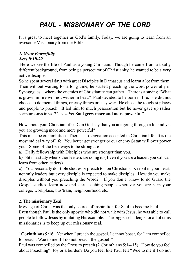# *PAUL - MISSIONARY OF THE LORD*

It is great to meet together as God's family. Today, we are going to learn from an awesome Missionary from the Bible.

## *1. Grow Powerfully*

#### **Acts 9:19-22**

 Here we see the life of Paul as a young Christian. Though he came from a totally different background, from being a persecutor of Christianity, he wanted to be a very active disciple.

So he spent several days with great Disciples in Damascus and learnt a lot from them. Then without waiting for a long time, he started preaching the word powerfully in Synagogues – where the enemies of Christianity can gather! There is a saying "What is grown in fire will not wither in heat." Paul decided to be born in fire. He did not choose to do menial things, or easy things or easy way. He chose the toughest places and people to preach. It led him to much persecution but he never gave up rather scripture says in vs. 22 **"…..Yet Saul grew more and more powerful"**

How about your Christian life? Can God say that you are going through a lot and yet you are growing more and more powerful?

This must be our ambition. There is no stagnation accepted in Christian life. It is the most radical way of life. You better get stronger or our enemy Satan will over power you. Some of the best ways to be strong are :

a) Daily fellowship with Disciples who are stronger than you.

b) Sit in a study when other leaders are doing it. ( Even if you are a leader, you still can learn from other leaders)

c) You personally do Bible studies or preach to non Christians. Keep it in your heart, not only leaders but every disciple is expected to make disciples. How do you make disciples without you preaching the Word? If you don't know to do Guard the Gospel studies, learn now and start teaching people wherever you are :- in your college, workplace, bus/train, neighbourhood etc.

#### **2. The missionary Zeal**

Message of Christ was the only source of inspiration for Saul to become Paul.

Even though Paul is the only apostle who did not walk with Jesus, he was able to call people to follow Jesus by imitating His example. The biggest challenge for all of us as missionaries is to keep up our missionary zeal.

**1Corinthians 9:16** "Yet when I preach the gospel, I cannot boast, for I am compelled to preach. Woe to me if I do not preach the gospel!"

Paul was compelled by the Cross to preach (2 Corinthians 5:14-15). How do you feel about Preaching? Joy or a burden? Do you feel like Paul felt "Woe to me if I do not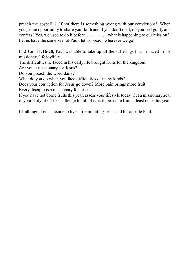preach the gospel!"? If not there is something wrong with our convictions! When you get an opportunity to share your faith and if you don't do it, do you feel guilty and confess? Yes, we used to do it before…………..! what is happening to our mission? Let us have the same zeal of Paul, let us preach wherever we go!

In **2 Cor 11:16-28**, Paul was able to take up all the sufferings that he faced in his missionary life joyfully.

The difficulties he faced in his daily life brought fruits for the kingdom.

Are you a missionary for Jesus?

Do you preach the word daily?

What do you do when you face difficulties of many kinds?

Does your conviction for Jesus go down? More pain brings more fruit.

Every disciple is a missionary for Jesus.

If you have not borne fruits this year, assess your lifestyle today. Get a missionary zeal in your daily life. The challenge for all of us is to bear one fruit at least once this year.

**Challenge**: Let us decide to live a life imitating Jesus and his apostle Paul.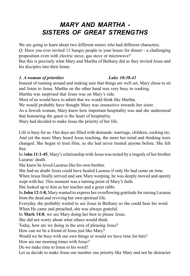## *MARY AND MARTHA - SISTERS OF GREAT STRENGTHS*

We are going to learn about two different sisters who had different characters. Q: Have you ever invited 13 hungry people to your house for dinner - a challenging proposition even with electric stove, gas stove or microwave? But this is precisely what Mary and Martha of Bethany did as they invited Jesus and

his disciples into their home.

#### *1. A woman of priorities Luke 10:38-41*

Instead of running around and making sure that things are well set, Mary chose to sit and listen to Jesus. Martha on the other hand was very busy in cooking.

Martha was surprised that Jesus was on Mary's side.

Most of us would have to admit that we would think like Martha.

We would probably have thought Mary was insensitive towards her sister.

As a Jewish woman, Mary knew how important hospitality was and she understood that honouring the guest is the heart of hospitality.

Mary had decided to make Jesus the priority of her life.

Life is busy for us. Our days are filled with demands: marriage, children, cocking etc. And yet the more Mary heard Jesus teaching, the more her mind and thinking were changed. She began to trust Him, as she had never trusted anyone before. She felt free.

In J**ohn 11:1-45**, Mary's relationship with Jesus was tested by a tragedy of her brother Lazarus' death.

She knew he loved Lazarus like his own brother.

She had no doubt Jesus could have healed Lazarus if only He had come on time.

When Jesus finally arrived and saw Mary weeping, he was deeply moved and openly wept with her. This moment was a turning point of Mary's faith.

She looked up to him as her teacher and a great rabbi.

In **John 12:1-8,** Mary wanted to express her overflowing gratitude for raising Lazarus from the dead and reviving her own spiritual life.

Everyday she probably waited to see Jesus in Bethany so she could hear his word.

When He came and preached, she was always grateful.

In **Mark 14:8**, we see Mary doing her best to please Jesus.

She did not worry about what others would think.

Today, how are we doing in the area of pleasing Jesus?

How can we be a friend of Jesus just like Mary?

Would we be busy with our own things or would we have time for him?

How are our morning times with Jesus?

Do we make time to listen to his word?

Let us decide to make Jesus our number one priority like Mary and not be distracter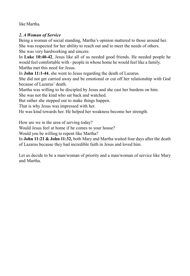like Martha.

#### *2. A Woman of Service*

Being a woman of social standing, Martha's opinion mattered to those around her. She was respected for her ability to reach out and to meet the needs of others. She was very hardworking and sincere.

In **Luke 10:40-42**, Jesus like all of us needed good friends. He needed people he would feel comfortable with - people in whose home he would feel like a family. Martha met this need for Jesus.

In **John 11:1-44**, she went to Jesus regarding the death of Lazarus.

She did not get carried away and be emotional or cut off her relationship with God because of Lazarus' death.

Martha was willing to be discipled by Jesus and she cast her burdens on him.

She was not the kind who sat back and watched.

But rather she stepped out to make things happen.

That is why Jesus was impressed with her.

He was kind towards her. He helped her weakness become her strength.

How are we in the area of serving today?

Would Jesus feel at home if he comes to your house?

Would you be willing to repent like Martha?

In **John 11:21 & John 11:32,** both Mary and Martha waited four days after the death of Lazarus because they had incredible faith in Jesus and loved him.

Let us decide to be a man/woman of priority and a man/woman of service like Mary and Martha.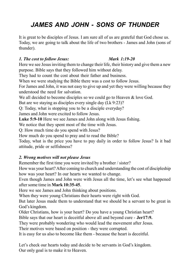## *JAMES AND JOHN - SONS OF THUNDER*

It is great to be disciples of Jesus. I am sure all of us are grateful that God chose us. Today, we are going to talk about the life of two brothers - James and John (sons of thunder).

#### *1. The cost to follow Jesus: Mark 1:19-20*

Here we see Jesus inviting them to change their life, their history and give them a new purpose. Bible says that they followed him without delay.

They had to count the cost about their father and business.

When we were studying the Bible there was a cost to follow Jesus.

For James and John, it was not easy to give up and yet they were willing because they understood the need for salvation.

We all decided to become disciples so we could go to Heaven & love God.

But are we staying as disciples every single day (Lk 9:23)?

Q: Today, what is stopping you to be a disciple everyday?

James and John were excited to follow Jesus.

**Luke 5:9-10** Here we see James and John along with Jesus fishing.

We notice that they spent most of the time with Jesus.

Q: How much time do you spend with Jesus?

How much do you spend to pray and to read the Bible?

Today, what is the price you have to pay daily in order to follow Jesus? Is it bad attitude, pride or selfishness?

#### *2. Wrong motives will not please Jesus*

Remember the first time you were invited by a brother / sister?

How was your heart? After coming to church and understanding the cost of discipleship how was your heart? In our hearts we wanted to change.

Even though James and John were with Jesus all the time, let's see what happened after some time in **Mark 10:35-45**.

Here we see James and John thinking about positions.

When they were young Christians their hearts were right with God.

But later Jesus made them to understand that we should be a servant to be great in God's kingdom.

Older Christians, how is your heart? Do you have a young Christian heart?

Bible says that our heart is deceitful above all and beyond cure - **Jer17:9.**

They were probably wondering who would lead the movement after Jesus.

Their motives were based on position - they were corrupted.

It is easy for us also to become like them - because the heart is deceitful.

Let's check our hearts today and decide to be servants in God's kingdom. Our only goal is to make it to Heaven.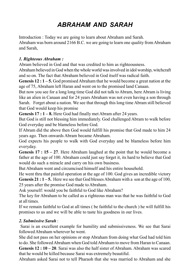# *ABRAHAM AND SARAH*

Introduction : Today we are going to learn about Abraham and Sarah. Abraham was born around 2166 B.C. we are going to learn one quality from Abraham and Sarah,

#### *1. Righteous Abraham :*

Abram believed in God and that was credited to him as righteousness.

Abraham believed in God when the whole world was involved in idol worship, witchcraft and so on. The fact that Abraham believed in God itself was radical faith.

**Genesis 12 : 1 – 5.** God promised Abraham that he would become a great nation at the age of 75, Abraham left Haran and went on to the promised land Canaan.

But now you see for a long long time God did not talk to Abram, here Abram is living like an alien in Canaan and for 24 years Abraham was not even having a son through Sarah. Forget about a nation. We see that through this long time Abram still believed that God would keep his promise

**Genesis 17 : 1 – 8.** Here God had finally met Abram after 24 years.

But God is still not blessing him immediately. God challenged Abram to walk before God everyday and be blameless before God.

If Abram did the above then God would fulfill his promise that God made to him 24 years ago. Then onwards Abram became Abraham.

God expects his people to walk with God everyday and be blameless before him everyday.

**Genesis 17 : 15 – 27**. Here Abraham laughed at the point that he would become a father at the age of 100. Abraham could just say forget it, its hard to believe that God would do such a miracle and carry on his own business.

But Abraham went and circumcised himself and his entire household.

He went thru that painful operation at the age of 100. God gives an incredible victory **Genesis 21 : 1 – 5.** Here we see that God blesses Abraham with a son at the age of 100, 25 years after the promise God made to Abraham.

Ask yourself: would you be faithful to God like Abraham?

The key for Abraham to be called as a righteous man was that he was faithful to God at all times.

If we remain faithful to God at all times ( be faithful to the church ) he will fulfill his promises to us and we will be able to taste his goodness in our lives.

#### *2. Submissive Sarah* :

 Sarai is an excellent example for humility and submissiveness. We see that Sarai followed Abraham wherever he went.

She did not pass on her opinions or stop Abraham from doing what God had told him to do. She followed Abraham when God told Abraham to move from Haran to Canaan.

**Genesis 12 : 10 – 20**. Sarai was also the half sister of Abraham. Abraham was scared that he would be killed because Sarai was extremely beautiful.

Abraham asked Sarai not to tell Pharaoh that she was married to Abraham and she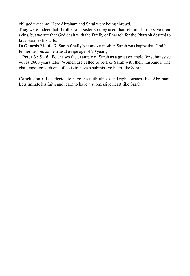obliged the same. Here Abraham and Sarai were being shrewd.

They were indeed half brother and sister so they used that relationship to save their skins, but we see that God dealt with the family of Pharaoh for the Pharaoh desired to take Sarai as his wife.

**In Genesis 21 : 6 – 7**. Sarah finally becomes a mother. Sarah was happy that God had let her desires come true at a ripe age of 90 years,

**1 Peter 3 : 5 – 6.** Peter uses the example of Sarah as a great example for submissive wives 2600 years later. Women are called to be like Sarah with their husbands. The challenge for each one of us is to have a submissive heart like Sarah.

**Conclusion :** Lets decide to have the faithfulness and righteousness like Abraham. Lets imitate his faith and learn to have a submissive heart like Sarah.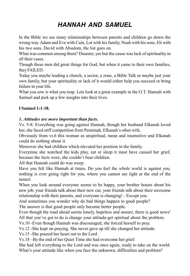## *HANNAH AND SAMUEL*

In the Bible we see many relationships between parents and children go down the wrong way. Adam and Eve with Cain, Lot with his family, Noah with his sons, Eli with his two sons, David with Absalom, the list goes on.

What was common among them? Disaster, yes but the cause was lack of spirituality in all their cases.

Though these men did great things for God, but when it came to their own families, they FAILED.

Today you maybe leading a church, a sector, a zone, a Bible Talk or maybe just your own family, but your spirituality or lack of it would either help you succeed or bring failure in your life.

What you sow is what you reap. Lets look at a great example in the O.T. Hannah with Samuel and pick up a few insights into their lives.

#### **I Samuel 1:1-18.**

#### *1. Attitudes are more important than facts.*

Vs. 5-8: Everything was going against Hannah, though her husband Elkanah loved her, she faced stiff competition from Penninah, Elkanah's other wife.

Obviously from vs.6 this woman as unspiritual, mean and insensitive and Elkanah could do nothing about it.

Moreover she had children which elevated her position in the family.

Everytime she watched the kids play, eat or sleep it must have caused her grief, because the facts were, she couldn't bear children.

All that Hannah could do was weep.

Have you felt like Hannah at times, Do you feel the whole world is against you, nothing is ever going right for you, where you cannot see light at the end of the tunnel.

When you look around everyone seems to be happy, your brother boasts about his new job, your friends talk about their new car, your friends talk about their awesome relationship with their parents, and everyone is changing! - Except you.

And sometimes you wonder why do bad things happen to good people?

The answer is that good people only become better people.

Even though the road ahead seems lonely, hopeless and unsure, there is good news! All that you've got to do is change your attitude-get spiritual about the problem.

Vs.10 -Even though Hannah was discouraged, she forced herself to pray.

Vs.12 -She kept on praying. She never gave up till she changed her attitude.

Vs.15 -She poured her heart out to the Lord.

Vs.18 –By the end of her Quiet Time she had overcome her grief.

She had left everything to the Lord and was once again, ready to take on the world. What's your attitude like when you face the unknown, difficulties and problem?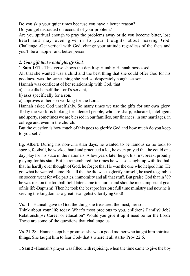Do you skip your quiet times because you have a better reason?

Do you get distracted on account of your problem?

Are you spiritual enough to pray the problems away or do you become bitter, lose heart and may even give in to your thoughts about leaving God. Challenge -Get vertical with God, change your attitude regardless of the facts and you'll be a happier and better person.

#### *2. Your gift that would glorify God.*

**1 Sam 1:11** - This verse shows the depth spirituality Hannah possessed.

All that she wanted was a child and the best thing that she could offer God for his goodness was the same thing she had so desperately sought -a son.

Hannah was confident of her relationship with God, that

a) she calls herself the Lord's servant,

b) asks specifically for a son,

c) approves of her son working for the Lord.

Hannah asked God unselfishly. So many times we use the gifts for our own glory. Today the world is looking for talented people, who are sharp, educated, intelligent and sporty, sometimes we are blessed in our families, our finances, in our marriages, in college and even in the church.

But the question is how much of this goes to glorify God and how much do you keep to yourself?

Eg. Albert: During his non-Christian days, he wanted to be famous so he took to sports, football, he worked hard and practiced a lot, he even prayed that he could one day play for his state in the nationals. A few years later he got his first break, proudly playing for his state.But he remembered the times he was so caught up with football that he hardly ever thought of God, he forgot that He was the one who helped him. He got what he wanted, fame. But all that he did was to glorify himself, he used to gamble on soccer, went for wild parties, immorality and all that stuff. But praise God that in '89 he was met on the football field later came to church and shot the most important goal of his life-Baptism! Then he took the best profession : full time ministry and now he is serving the kingdom as a great Evangelist Glorifying God!

Vs.11 - Hannah gave to God the thing she treasured the most, her son.

Think about your life today. What's most precious to you, children? Family? Job? Relationships? Career or education? Would you give it up if need be for the Lord? These are some of the questions that challenge us.

Vs. 21-28 - Hannah kept her promise; she was a good mother who taught him spiritual things. She taught him to fear God- that's where it all starts- Prov 22:6.

**1 Sam 2** -Hannah's prayer was filled with rejoicing, when the time came to give the boy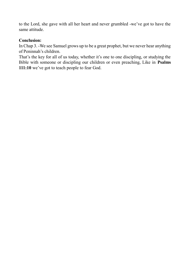to the Lord, she gave with all her heart and never grumbled -we've got to have the same attitude.

#### **Conclusion:**

In Chap 3. -We see Samuel grows up to be a great prophet, but we never hear anything of Peninnah's children.

That's the key for all of us today, whether it's one to one discipling, or studying the Bible with someone or discipling our children or even preaching, Like in **Psalms 111:10** we've got to teach people to fear God.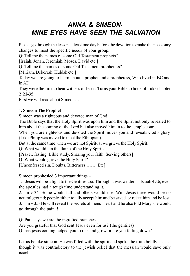## *ANNA & SIMEON-MINE EYES HAVE SEEN THE SALVATION*

Please go through the lesson at least one day before the devotion to make the necessary changes to meet the specific needs of your group.

Q: Tell me the names of some Old Testament prophets?

[Isaiah, Jonah, Jeremiah, Moses, David etc.]

Q: Tell me the names of some Old Testament prophetess?

[Miriam, Deborrah, Huldah etc.]

Today we are going to learn about a prophet and a prophetess, Who lived in BC and in AD.

They were the first to bear witness of Jesus. Turns your Bible to book of Luke chapter **2:21-35.**

First we will read about Simeon…

#### **1. Simeon The Prophet**

Simeon was a righteous and devoted man of God.

The Bible says that the Holy Spirit was upon him and the Spirit not only revealed to him about the coming of the Lord but also moved him in to the temple court.

When you are righteous and devoted the Spirit moves you and reveals God's glory. (Like Philip was moved to meet the Ethiopian).

But at the same time when we are not Spiritual we grieve the Holy Spirit:

Q: What would fan the flame of the Holy Spirit?

[Prayer, fasting, Bible study, Sharing your faith, Serving others]

Q: What would grieve the Holy Spirit?

[Unconfessed sin, Doubts, Bitterness ……. Etc]

Simeon prophesied 3 important things –

1. Jesus will be a light to the Gentiles too. Through it was written in Isaiah 49:6, even the apostles had a tough time understanding it.

2. In v 34- Some would fall and others would rise. With Jesus there would be no neutral ground; people either totally accept him and be saved or reject him and be lost. 3. In v 35- He will reveal the secrets of mens' heart and he also told Mary she would go through the pain..!

Q: Paul says we are the ingrafted branches.

Are you grateful that God sent Jesus even for us? (the gentiles)

Q: has jesus coming helped you to rise and grow or are you falling down?

Let us be like simeon. He was filled with the spirit and spoke the truth boldly……… though it was contradictory to the jewish belief that the messiah would save only israel.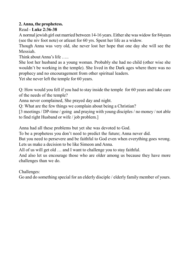#### **2. Anna, the prophetess.**

#### Read - **Luke 2:36-38**

A normal jewish girl out married between 14-16 years. Either she was widow for 84years (see the niv foot note) or atleast for 60 yrs. Spent her life as a widow.

Though Anna was very old, she never lost her hope that one day she will see the Messiah.

Think about Anna's life …..

She lost her husband as a young woman. Probably she had no child (other wise she wouldn't be working in the temple). She lived in the Dark ages where there was no prophecy and no encouragement from other spiritual leaders.

Yet she never left the temple for 60 years.

Q: How would you fell if you had to stay inside the temple for 60 years and take care of the needs of the temple?

Anna never complained, She prayed day and night.

Q: What are the few things we complain about being a Christian?

[3 meetings / DP-time / going and praying with young disciples / no money / not able to find right Husband or wife / job problem.]

Anna had all these problems but yet she was devoted to God.

To be a prophetess you don't need to predict the future; Anna never did.

But you need to persevere and be faithful to God even when everything goes wrong. Lets us make a decision to be like Simeon and Anna.

All of us will get old … and I want to challenge you to stay faithful.

And also let us encourage those who are older among us because they have more challenges than we do.

Challenges:

Go and do something special for an elderly disciple / elderly family member of yours.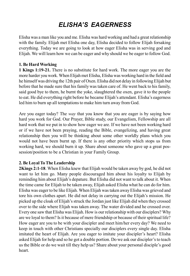## *ELISHA'S EAGERNESS*

Elisha was a man like you and me. Elisha was hard working and had a great relationship with the family. Elijah met Elisha one day, Elisha decided to follow Elijah forsaking everything. Today we are going to look at how eager Elisha was in serving god and Elijah. We will learn how we can be eager and why should we be eager to follow God.

#### **1. Be Hard Working**

**1 Kings 1:19-21.** There is no substitute for hard work. The more eager you are the more harder you work. When Elijah met Elisha, Elisha was working hard in the field and he himself was driving the 12th pair of Oxen. Elisha did not delay in following Elijah but before that he made sure that his family was taken care of. He went back to his family, said good bye to them, he burnt the yoke, slaughtered the oxen, gave it to the people to eat. He did everything right before he became Elijah's attendant. Elisha's eagerness led him to burn up all temptations to make him turn away from God.

Are you eager today? The *way* that you know that you are eager is by saying how hard you work for God. Our Prayer, Bible study, our Evangelism, Fellowship are all hard work that we put in to show how eager we are. If we have not been working hard or if we have not been praying, reading the Bible, evangelizing, and having great relationship then you will be thinking about some other worldly plans which you would not have been burnt up. If there is any other priority which stops us from working hard, we should burn it up. Share about someone who gave up a great possession/position to be a Christian in your Family Group.

#### **2. Be Loyal To The Leadership**

**2Kings 2:1-18**. When Elisha knew that Elijah would be taken away by god, he did not want to let him go. Many people discouraged him about his loyalty to Elijah by reminding him about Elijah's depature. But Elisha did not want to talk about it. When the time came for Elijah to be taken away, Elijah asked Elisha what he can do for him. Elisha was eager to be like Elijah. When Elijah was taken away Elisha was grieved and tore his own clothes apart. He did not delay in carrying out the Elijah's mission. He picked up the cloak of Elijah's struck the Jordan just like Elijah did when they crossed over to the side where Elijah was taken away. The water divided and he crossed over. Every one saw that Elisha was Elijah. How is our relationship with our disciplers? Why are we loyal to them? Is it because of mere friendship or because of their spiritual life? How eager are you to be with your discipler and meet him/her every day? We need to keep in touch with other Christians specially our disciplers every single day. Elisha imitated the heart of Elijah. Are you eager to imitate your discipler's heart? Elisha asked Elijah for help and so he got a double portion. Do we ask our discipler's to teach us the Bible or do we wait till they help us? Share about your personal disciple's good heart.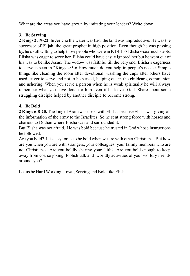What are the areas you have grown by imitating your leaders? Write down.

#### **3. Be Serving**

**2 Kings 2:19-22**. In Jericho the water was bad, the land was unproductive. He was the successor of Elijah, the great prophet in high position. Even though he was passing by, he's still wilting to help those people who were in K I 4:1 -7 Elisha  $\sim$  sea much debts. Elisha was eager to serve her. Elisha could have easily ignored her but he went out of his way to be like Jesus. The widow was faithful till the very end. Elisha's eagerness to serve is seen in 2Kings 4:5-6 How much do you help in people's needs? Simple things like cleaning the room after devotional, washing the cups after others have used, eager to serve and not to be served, helping out in the childcare, communion and ushering. When you serve a person when he is weak spiritually he will always remember what you have done for him even if he leaves God. Share about some struggling disciple helped by another disciple to become strong.

### **4. Be Bold**

**2 Kings 6:8-20.** The king of Aram was upset with Elisha, because Elisha was giving all the information of the army to the Israelites. So he sent strong force with horses and chariots to Dothan where Elisha was and surrounded it.

But Elisha was not afraid. He was bold because he trusted in God whose instructions he followed.

Are you bold? It is easy for us to be bold when we are with other Christians. But how are you when you are with strangers, your colleagues, your family members who are not Christians? Are you boldly sharing your faith? Are you bold enough to keep away from coarse joking, foolish talk and worldly activities of your worldly friends around you?

Let us be Hard Working, Loyal, Serving and Bold like Elisha.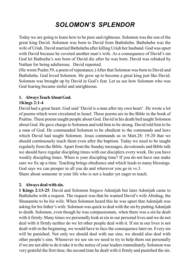## *SOLOMON'S SPLENDOR*

Today we are going to learn how to be pure and righteous. Solomon was the son of the great king David. Solomon was born to David from Bathsheba. Bathsheba was the wife of Uriah. David married Bathsheba after killing Uriah her husband. God was upset with David because he coveted another man's wife. As a consequence of David's sin God let Bathseba's son born of David die after he was born. David was rebuked by Nathan for being adulterous. David repented.

(He wrote Psalm 59, a poem of repentance.) After that Solomon was born to David and Bathsheba. God loved Solomon. He grew up to become a great king just like David. Solomon was brought up by David in God's fear. Let us see how Solomon who was God fearing became sinful and unrighteous.

#### **1. Always Teach About God.**

#### **1Kings 2:1-4**

David had a great heart. God said 'David is a man after my own heart'. He wrote a lot of poems which were circulated in Israel. These poems are in the Bible in the book of Psalms. These poems taught people about God. David in his death bed taught Solomon about God. He gave charge to Solomon and told him to be strong. David told him to be a man of God. He commanded Solomon to be obedient to the commands and laws which David had taught Solomon. Jesus commands us in Matt.28: 19-20 that we should continuously teach them even after the baptism. Today we need to be taught regularly from the Bible. Apart from the Sunday messages, devotionals and Bible talk we should have regular discipling times with our disciplers every week. Do you have weekly discipling times. When is your discipling time? If you do not have one make sure we fix up a time. Teaching brings obedience and which leads to many blessings. God says we can prosper in all you do and wherever you go in vs.3. Share about someone in your life who is not a leader yet eager to teach.

#### **2. Always deal with sin.**

**1 Kings 2:13-25**. David and Solomon forgave Adonijah but later Adonijah came to Bathsheba with a request. The request was that he wanted David's wife Abishag, the Shunamite to be his wife. When Solomon heard this he was upset that Adonijah was asking for his father's wife. Solomon was quick to deal with the sin by putting Adonijah to death. Solomon, even though he was compassionate, when there was a sin he dealt with it firmly. Many times we personally look at sin in our personal lives and we do not deal with it firmly neither do we let other people deal with it. If sin in our lives is not dealt with in the beginning, we would have to face the consequence later on. Every sin will be punished. Not only we should deal with our sins, we should also deal with other people's sins. Whenever we see sin we need to try to help them out personally if we are not able to do it take it to the notice of your leaders immediately. Solomon was very grateful the first time, the second time he dealt with it firmly and punished the sin.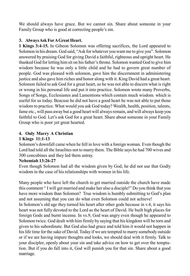We should always have grace. But we cannot sin. Share about someone in your Family Group who is good at correcting people's sin.

#### **3. Always Ask For A Great Heart.**

**1 Kings 3:4-15.** In Gibeon Solomon was offering sacrifices, the Lord appeared to Solomon in his dream. God said, "Ask for whatever you want me to give you". Solomon answered by praising God for giving David a faithful, righteous and upright heart. He thanked God for letting him sit on his father's throne. Solomon wanted God to give him wisdom because he was only a little child and he had to govern great number of people. God was pleased with solomon, gave him the discernment in administering justice and also gave him riches and honor along with it. King David had a great heart. Solomon failed to ask God for a great heart, so he was not able to discern what is right or wrong in his personal life and put it into practice. Solomon wrote many Proverbs, Songs of Songs, Ecclesiastes and Lamentions which contain much wisdom. which is useful for us today. Beacuse he did not have a good heart he was not able to put those wisdom to practice. What would you ask God today? Wealth, health, position, talents, fame etc., will pass away but a good heart will always remain, and will always keep you faithful to God. Let's ask God for a great heart. Share about someone in your Family Group who is poor yet great hearted.

## **4. Only Marry A Christian**

#### **1 Kings 11:1-13**

Solomon's downfall came when he fell in love with a foreign woman. Even though the Lord had told all the Israelites not to marry them. The Bible says he had 700 wives and 300 concubines and they led them astray.

#### **Nehemiah 13:26-27**

Even though Solomon had all the wisdom given by God, he did not use that Godly wisdom in the case of his relationships with women in his life.

Many people who have left the church to get married outside the church have made this comment " I will get married and make her also a disciple!" Do you think that you have more wisdom than Solomon? True wisdom is humbly submitting to God's plan and not assuming that you can do what even Solomon could not achieve!

In Solomon's old age they turned his heart after other gods because in v.4, it says his heart was not fully devoted to the Lord as the heart of David. He built high places for foreign Gods and burnt incense. In vs.9, God was angry even though he appeared to Solomon twice. God dealt with him firmly by saying that his kingdom will be torn and given to his subordinate. But God also had grace and told him it would not happen in his life time for the sake of David. Today if we are tempted to marry somebody outside or if we are having impure thoughts and looks, we should deal with it firmly. Talk to your discipler, openly about your sin and take advice on how to get over the temptation. But if you do fall into it, God will punish you for that sin. Share about a good marriage.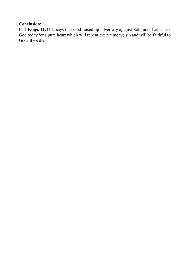### **Conclusion:**

In **1 Kings 11:14** It says that God raised up adversary against Solomon. Let us ask God today for a pure heart which will repent every time we sin and will be faithful to God till we die.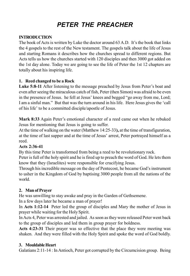# *PETER THE PREACHER*

#### **INTRODUCTION**

The book of Acts is written by Luke the doctor around 63 A.D. It's the book that links the 4 gospels to the rest of the New testament. The gospels talk about the life of Jesus and starting Romans it describes how the churches spread to different regions. But Acts tells us how the churches started with 120 disciples and then 3000 got added on the 1st day alone. Today we are going to see the life of Peter the 1st 12 chapters are totally about his inspiring life.

#### **1. Reed changed to be a Rock**

**Luke 5:8-11** After listening to the message preached by Jesus from Peter's boat and even after seeing the miraculous catch of fish, Peter (then Simon) was afraid to be even in the presence of Jesus. he fell at Jesus' knees and begged "go away from me, Lord; I am a sinful man." But that was the turn around in his life. Here Jesus gives the 'call of his life' to be a committed disciple/apostle of Jesus.

**Mark 8:33** Again Peter's emotional character of a reed came out when he rebuked Jesus for mentioning that Jesus is going to suffer.

At the time of walking on the water (Matthew 14:25-33**),** at the time of transfiguration, at the time of last supper and at the time of Jesus' arrest, Peter portrayed himself as a reed.

#### **Acts 2:36-41**

By this time Peter is transformed from being a reed to be revolutionary rock.

Peter is full of the holy spirit and he is fired up to preach the word of God. He lets them know that they (Israelites) were responsible for crucifying Jesus.

Through his incredible message on the day of Pentecost, he became God's instrument to usher in the Kingdom of God by baptising 3000 people from all the nations of the world.

#### **2. Man of Prayer**

He was unwilling to stay awake and pray in the Garden of Gethsemene.

In a few days later he became a man of prayer!

In **Acts 1:12-14** Peter led the group of disciples and Mary the mother of Jesus in prayer while waiting for the Holy Spirit.

In Acts 4, Peter was arrested and jailed. As soon as they were released Peter went back to the group of disciples and led them in group prayer for boldness.

**Acts 4:23-31** Their prayer was so effective that the place they were meeting was shaken. And they were filled with the Holy Spirit and spoke the word of God boldly.

#### **3. Mouldable Heart**

Galatians 2:11-14 : In Antioch, Peter got corrupted by the Circumcision group. Being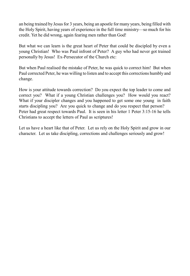an being trained by Jesus for 3 years, being an apostle for many years, being filled with the Holy Spirit, having years of experience in the full time ministry—so much for his credit. Yet he did wrong, again fearing men rather than God!

But what we can learn is the great heart of Peter that could be discipled by even a young Christian! Who was Paul infront of Peter? A guy who had never got trained personally by Jesus! Ex-Persecutor of the Church etc:

But when Paul realised the mistake of Peter, he was quick to correct him! But when Paul corrected Peter, he was willing to listen and to accept this corrections humbly and change.

How is your attitude towards correction? Do you expect the top leader to come and correct you? What if a young Christian challenges you? How would you react? What if your discipler changes and you happened to get some one young in faith starts discipling you? Are you quick to change and do you respect that person? Peter had great respect towards Paul. It is seen in his letter 1 Peter 3:15-16 he tells Christians to accept the letters of Paul as scriptures!

Let us have a heart like that of Peter. Let us rely on the Holy Spirit and grow in our character. Let us take discipling, corrections and challenges seriously and grow!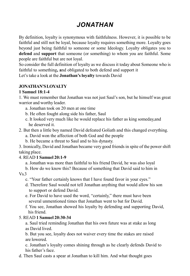# *JONATHAN*

By definition, loyalty is synonymous with faithfulness. However, it is possible to be faithful and still not be loyal, because loyalty requires something more. Loyalty goes beyond just being faithful to someone or some Ideology. Loyalty obligates you to **defend** and **support** that someone (or something) to whom you are faithful. Some people are faithful but are not loyal.

So consider the full definition of loyalty as we discuss it today about Someone who is faithful to something**, a**nd obligated to both defend and support it Let's take a look at the **Jonathan's loyalty** towards David

#### **JONATHAN'S LOYALTY**

#### **1 Samuel 18:1-4**

1. We must remember that Jonathan was not just Saul's son, but he himself was great warrior and worthy leader.

- a. Jonathan took on 20 men at one time
- b. He often fought along side his father, Saul
- c. It looked very much like he would replace his father as king someday,and he deserved it.
- 2. But then a little boy named David defeated Goliath and this changed everything.
	- a. David won the affection of both God and the people
	- b. He became a threat to Saul and to his dynasty.

3. Ironically, David and Jonathan became very good friends in spite of the power shift taking place.

#### 4. READ **1 Samuel 20:1-9**

a. Jonathan was more than faithful to his friend David, he was also loyal

- b. How do we know this? Because of something that David said to him in  $Vs$  3
	- c. "Your father certainly knows that I have found favor in your eyes."
	- d. Therefore Saul would not tell Jonathan anything that would allow his son to support or defend David.
	- e. For David to have used the word, "certainly," there must have been several unmentioned times that Jonathan went to bat for David.
	- f. You see, Jonathan showed his loyalty by defending and supporting David, his friend.

#### 5. READ **1 Samuel 20:30-34**

a. Saul tried reminding Jonathan that his own future was at stake as long as David lived.

b. But you see, loyalty does not waiver every time the stakes are raised are lowered.

c. Jonathan's loyalty comes shining through as he clearly defends David to his father's face.

d. Then Saul casts a spear at Jonathan to kill him. And what thought goes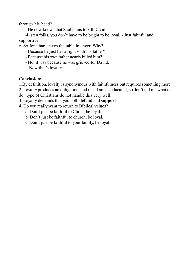through his head?

- He now knows that Saul plans to kill David

-Listen folks, you don't have to be bright to be loyal. - Just faithful and supportive.

e. So Jonathan leaves the table in anger. Why?

- Because he just has a fight with his father?
- Because his own father nearly killed him?
- No, it was because he was grieved for David.

f. Now that's loyalty.

#### **Conclusion:**

1.By definition, loyalty is synonymous with faithfulness but requires something more

2. Loyalty produces an obligation, and the "I am an educated, so don't tell me what to

do" type of Christians do not handle this very well.

3. Loyalty demands that you both **defend** and **support**

4. Do you really want to return to Biblical values?

a. Don't just be faithful to Christ, be loyal.

b. Don't just be faithful to church, be loyal.

c. Don't just be faithful to your family, be loyal.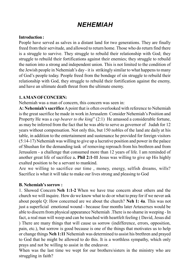## *NEHEMIAH*

#### **Introduction :**

People have served as salves in a distant land for two generations. They are finally freed from their servitude, and allowed to return home. Those who do return find there is a struggle to survive. They struggle to rebuild their relationship with God; they struggle to rebuild their fortifications against their enemies; they struggle to rebuild the nation into a strong and independent union. This is not limited to the condition of the Jewish people in Nehemiah's day - it is strikingly similar to what happens to many of God's people today. People freed from the bondage of sin struggle to rebuild their relationship with God, they struggle to rebuild their fortification against the enemy, and have an ultimate death threat from the ultimate enemy.

#### **1. A MAN OF CONCERN:**

Nehemiah was a man of concern, this concern was seen in:

**A: Nehemiah's sacrifice** A point that is often overlooked with reference to Nehemiah is the great sacrifice he made in work in Jerusalem Consider Nehemiah's Position and Property He was a *cup bearer to the king*" (2:1) He amassed a considerable fortune, as may be inferred from the fact that he was able to serve as governor of Judah for 12 years without compensation. Not only this, but 150 nobles of the land ate daily at his table, in addition to the entertainment and sustenance he provided for foreign visitors (5:14-17) Nehemiah was willing to give up a lucrative position and power in the palace of Shushan for the demanding task of removing reproach from his brethren and from Jerusalem - a challenge that consumed more than 12 years of life. I am reminded of another great life of sacrifice a**. Phil 2:1-11** Jesus was willing to give up His highly exalted position to be a servant to mankind.

Are we willing to sacrifice our time , money, energy, selfish dreams, wills? Sacrifice is what it will take to make our lives strong and pleasing to God

#### **B. Nehemiah's sorrow :**

1. Showed Concern **Neh 1:1-2** When we have true concern about others and the church we will inquire. How do we know what to do or what to pray for if we never ask about people Q: How concerned are we about the church? **Neh 1: 4a**. This was not just a superficial emotional wound - because four months later Artaxerxes would be able to discern from physical appearance Nehemiah .There is no shame in weeping - In fact, a real man will weep and can be touched with heartfelt feeling ( David, Jesus did ) There are many things that will cause us sorrow (indifference, errors, opposition, pain, etc.), but sorrow is good because is one of the things that motivates us to help or change things **Neh 1:11** Nehemiah was determined to assist his brethren and prayed to God that he might be allowed to do this. It is a worthless sympathy, which only prays and not be willing to assist in the endeavor.

When was the last time we wept for our brothers/sisters in the ministry who are struggling in faith?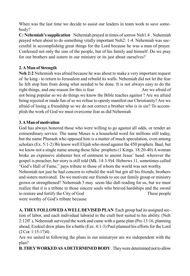When was the last time we decide to assist our leaders in team work to save somebody?

**C: Nehemiah's supplication** Nehemiah prayed in times of sorrow Neh1:4 . Nehemiah prayed when about to do something vitally important Neh2: 1-4. Nehemiah was successful in accomplishing great things for the Lord because he was a man of prayer. Confessed not only the sins of the people, but of his family and himself. Do we pray for our brothers and sisters in our ministry or its just about ourselves?

#### **2. A Man of Strength**

**Neh 2:2** Nehemiah was afraid because he was about to make a very important request of he king - to return to Jerusalem and rebuild its walls. Nehemiah did not let the fear he felt stop him from doing what needed to be done. It is not always easy to do the right things, and one reason for this is fear Are we afraid of not being popular so we do things we know the Bible teaches against ? Are we afraid being rejected or made fun of so we refuse to openly manifest our Christianity? Are we afraid of losing a friendship so we do not correct a brother who is in sin? To accomplish the work of God we must overcome fear as did Nehemiah

#### **3. A Man of motivation**

God has always honored those who were willing to go against all odds, or render an extraordinary service. The name Moses is a household word for millions still today, but the name Pharaoh who opposed him is a matter of much speculation, even among scholars (Ex. 5:1-2) We know well Elijah who stood against the 450 prophets Baal, but we know not a single name among those false prophets (1 Kings. 18:20-40) A woman broke an expensive alabaster box of ointment to anoint Jesus' head: wherever the gospel is preacher, her story is still told (Mk. 14:3-9)4. Hebrews 11, sometimes called "God's Hall of Fame," pays tribute to those of whom the world was not worthy.

Nehemiah not just he had concern to rebuild the wall but got all his friends, brothers and sisters motivated. Do we motivate our friends to see our family group or ministry grown or strengthened? Nehemiah 3 may seem like dull reading for us, but we must realize that it is a tribute to those sincere souls who braved hardships and the sword to restore and fortify the City of God These people

were worthy of God's tribute because

**A. THEY FOLLOWED A WELL DEVISED PLAN** Each group had its assigned section of labor, and each individual labored in the craft best suited to his ability. (Neh 2:12ff ), Nehemiah surveyed the work and came with a game plan (Pro 13:16, planning ahead, Ezekiel drew plans for a battle (Eze. 4:1-3) Paul planned his efforts for the Lord  $(2$  Cor. 1:15-17)4).

Are we united in following the plans in our ministryor are we independent with the plan?

**B. THEY WORKED AS A DETERMINED BODY** . They were determined not to allow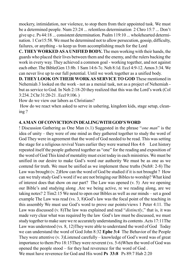mockery, intimidation, nor violence, to stop them from their appointed task. We must be a determined people. Num 23:24 ... relentless determination 2 Chro 15:7 ... Don't give up c. Ps 44:18 ... consistent determination. Psalm 119:10 ... wholehearted determination. 1 Cor15:58. We must be determined not to allow persecution, gossip, difficulty, failures, or anything - to keep us from accomplishing much for the Lord

**C. THEY WORKED AS A UNIFIED BODY.** The men working with their hands, the guards who placed their lives between them and the enemy, and the rulers backing the work in every way. They achieved a common goal - working together, and not against each other. The Bible(Gen 13:8b. 1 Sam 14:6-7c. Neh 8:1d. Eccl 4:9-12. Amos 3:34. We can never live up to our full potential. Until we work together as a unified body.

**D. THEY LOOK ON THEIR WORK AS SERVICE TO GOD** These mentioned in Nehemiah 3 looked on the work - not as a menial task, not as a project of Nehemiah but as service to God. In Neh 2:18-20 they realized that this was the Lord's work (Col 3:234. 2 Chr 31:20-21 . Eccl 9:106. )

How do we view our labors as Christians?

 How do we react when asked to serve in ushering, kingdom kids, stage setup, cleaning ?

#### **4. A MAN OF CONVICTION IN DEALING WITH GOD'S WORD**

! Discussion Gathering as One Man (v.1) Suggested in the phrase "*one man*" is the idea of unity – they were of one mind as they gathered together to study the word of God They were in agreement that the word of God needed to be read. This was setting the stage for a religious revival Years earlier they were warned Hos 4:6 Lest history repeated itself the people gathered together as "one" for the reading and exposition of the word of God This kind of mentality must exist today in each ministries. We must be unified in our desire to make God's word our authority We must be as one as we contend for truth. We must be unified as we implement these truths (Neh8: 2-8) The Law was brought (v. 2)How can the word of God be studied if it is not brought ? How can we truly study God's word if we are not bringing our Bibles to worship? What kind of interest does that show on our part? The Law was opened (v. 5) Are we opening our Bible's and studying along .Are we being active, re we reading along, are we taking notes? 2 Tim2:15 We need to open our Bibles as well as our minds – set a good example The Law was read (vs. 3, 8)God's law was the focal point of the teaching in this assembly We must use God's word to prove our points/views 1 Peter 4:11. The Law was discussed (v. 8)The law was explained and read "*distinctly*," that is, it was made very clear what was required by the law God's law must be discussed, we must study together to make sure we re accurately understanding its contents .Acts 17:11The Law was understood (vs. 8, 12)They were able to understand the word of God Today we can understand the word of God John 8:32 **Ephe 3:4** The Behavior of the People They were attentive (v. 3)Listened carefully – knowledge of God's word was of great importance to them Pro 18:15They were reverent (vs. 5-6)When the word of God was opened the people stood – for they had reverence for the word of God . We must have reverence for God and His word **Ps 33:8** Ps 89:7 Hab 2:20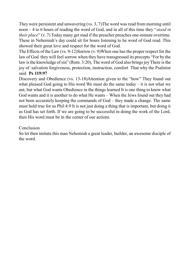They were persistent and unwavering (vs. 3, 7)The word was read from morning until noon – 4 to 6 hours of reading the word of God, and in all of this time they "*stood in their place*" (v. 7) Today many get mad if the preacher preaches one-minute overtime. These in Nehemiah's day could sit for hours listening to he word of God read. This showed their great love and respect for the word of God.

The Effects of the Law (vs. 9-12)Sorrow (v. 9)When one has the proper respect for the law of God they will feel sorrow when they have transgressed its precepts "For by the law is the knowledge of sin" (Rom. 3:20), The word of God also brings joy There is the joy of :salvation forgiveness, protection, instruction, comfort That why the Psalmist said **Ps 119:97**

Discovery and Obedience (vs. 13-18)Attention given to the "how" They found out what pleased God going to His word We must do the same today  $-$  it is not what we ant, but what God wants Obedience in the things learned It is one thing to know what God wants and it is another to do what He wants – When the Jews found out they had not been accurately keeping the commands of God – they made a change. The same must hold true for us Phil 4:9 It is not just doing a thing that is important, but doing it as God has set forth. If we are going to be successful in doing the work of the Lord, then His word must be in the center of our actions.

#### **Conclusion**

So let then imitate this man Nehemiah a great leader, builder, an awesome disciple of the word.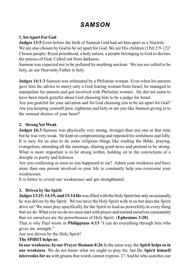# *SAMSON*

#### **1. Set Apart For God**

**Judges 13:5** Even before the birth of Samson God had set him apart as a Nazirite. We are also chosen by God to be set apart for God. We are His children (1Pet 2:9-12)? Chosen people, Royal priesthood, a holy nation, a people belonging to God to declare the praises of God, Called out from darkness.

Samson was expected not to be polluted by anything unclean. We too are called to be holy, as our Heavenly Father is holy.

**Judges 14:1-3** Samson was infatuated by a Philistine woman. Even when his parents gave him the advice to marry only a God fearing woman from Israel, he managed to manipulate his parents and got involved with Philistine women. He did not seem to have been much grateful about God choosing him to be a judge for Israel.

Are you grateful for your salvation and for God choosing you to be set apart for God? Are you keeping yourself pure, righteous and holy or are you like Samson giving in to the sensual desires of your heart?

#### **2. Strong Yet Weak**

**Judges 16:3** Samson was physically very strong, stronger than any one at that time but he was very weak. He kept on compromising and repeated his sinfulness and folly. It is easy for us also to do some religious things like reading the Bible, praying, evangelism, attending all the meetings, sharing good news and pretend to be strong. What is more important is to be strong within, holding on to the convictions of a disciple in purity and holiness

Are you confessing as soon as you happened to sin? Admit your weakness and have more than one person involved in your life to constantly help you overcome your weaknesses.

It is better to reveal our weaknesses and get strengthened.

#### **3. Driven by the Spirit**

**Judges 13:25, 14:19, and 15:14 He** was filled with the Holy Spirit but only occasionally he was driven by the Spirit. We too have the Holy Spirit with in us but does the Spirit drive us? We must pray specifically for the Spirit to lead us powerfully in every thing that we do. What ever we do we must start with prayer and remind ourselves consistently that we ourselves are the powerhouses of Holy Spirit. (**Ephesians 3:20)**

That is why Paul wrote in **Philippians 4:13** "I can do everything through him who gives me strength."

Are you driven by the Holy Spirit?

**The SPIRIT helps us** :

**In our weakness; In our Prayer Romans 8:26** In the same way, the **Spirit helps us in our weakness**. We do not know what we ought to pray for, but the **Spirit himself intercedes for us** with groans that words cannot express. 27 And he who searches our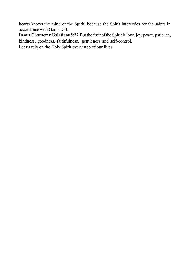hearts knows the mind of the Spirit, because the Spirit intercedes for the saints in accordance with God's will.

**In our Character Galatians 5:22** But the fruit of the Spirit is love, joy, peace, patience, kindness, goodness, faithfulness, gentleness and self-control. Let us rely on the Holy Spirit every step of our lives.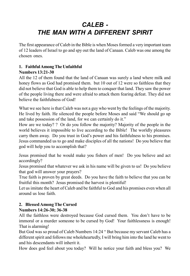## *CALEB - THE MAN WITH A DIFFERENT SPIRIT*

The first appearance of Caleb in the Bible is when Moses formed a very important team of 12 leaders of Israel to go and spy out the land of Canaan. Caleb was one among the chosen ones.

#### **1. Faithful Among The Unfaithful Numbers 13:21-30**

#### All the 12 of them found that the land of Canaan was surely a land where milk and honey flows as God had promised them. but 10 out of 12 were so faithless that they did not believe that God is able to help them to conquer that land. They saw the power of the people living there and were afraid to attack them fearing defeat. They did not believe the faithfulness of God!

What we see here is that Caleb was not a guy who went by the feelings of the majority. He lived by faith. He silenced the people before Moses and said "We should go up and take possession of the land, for we can certainly do it."

How are we today? ? Or do you follow the majority? Majority of the people in the world believes it impossible to live according to the Bible! The worldly pleasures carry them away. Do you trust in God's power and his faithfulness to his promises. Jesus commanded us to go and make disciples of all the nations! Do you believe that god will help you to accomplish that?

Jesus promised that he would make you fishers of men! Do you believe and act accordingly?

Jesus promised that whatever we ask in his name will be given to us! Do you believe that god will answer your prayers?

True faith is proven by great deeds. Do you have the faith to believe that you can be fruitful this month? Jesus promised the harvest is plentiful!

Let us imitate the heart of Caleb and be faithful to God and his promises even when all around us lose faith.

## **2. Blessed Among The Cursed**

### **Numbers 14:26-30; 36-38**

All the faithless were destroyed because God cursed them. You don't have to be immoral or a murder someone to be cursed by God! Your faithlessness is enough! That is alarming!

But God was so proud of Caleb Numbers 14:24 " But because my servant Caleb has a different spirit and follows me wholeheartedly, I will bring him into the land he went to and his descendants will inherit it.

How does god feel about you today? Will he notice your faith and bless you? We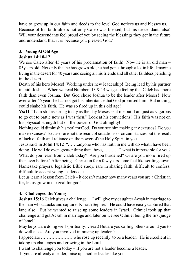have to grow up in our faith and deeds to the level God notices us and blesses us. Because of his faithfulness not only Caleb was blessed, but his descendants also! Will your descendants feel proud of you by seeing the blessings they get in the future and understand that it is because you pleased God?

### **3. Young At Old Age**

#### **Joshua 14:10-12**

We see Caleb after 45 years of his proclamation of faith! Now he is an old man – 85years old! Not only that he has grown old, he had gone through a lot in life. Imagine living in the desert for 40 years and seeing all his friends and all other faithless perishing in the desert!

Death of his hero Moses! Working under new leadership! Being lead by his partner in faith Joshua. When we read Numbers 13  $\&$  14 we get a feeling that Caleb had more faith than even Joshua. But God chose Joshua to be the leader after Moses! Now even after 45 years he has not got his inheritance that God promised him! But nothing could shake his faith. He was so fired up in this old age!

**Vs:11** " I am still as strong today as the day Moses sent me out. I am just as vigorous to go out to battle now as I was then." Look at his convictions! His faith was not on his physical strength but on the power of God almighty!

Nothing could diminish his zeal for God. Do you see him making any excuses? Do you make excuses? Excuses are not the result of situations or circumstances but the result of lack of faith and reliance on the power of the Holy Spirit in you.

Jesus said in **John 14:12** "…….anyone who has faith in me will do what I have been doing. He will do even greater thing than these,..........." what is impossible for you? What do you learn from Caleb today? Are you burdened? Or are you more fired up than ever before? After being a Christian for a few years some feel like settling down. Namesake prayers, legalistic Bible study, rare in sharing faith, difficult to confess, difficult to accept young leaders etc.

Let us learn a lesson from Caleb – it doesn't matter how many years you are a Christian for, let us grow in our zeal for god!

#### **4. Challenged the Young**

**Joshua 15:16** Caleb gives a challenge : "I will give my daughter Acsah in marriage to the man who attacks and captures Kiriath Sepher." He could have easily captured that land also. But he wanted to raise up some leaders in Israel. Othniel took up that challenge and got Acsah in marriage and later on we see Othniel being the first judge of Israel!

May be you are doing well spiritually. Great! But are you calling others around you to do well also? Are you involved in raising up leaders?

I appreciate ………………… who rose up recently to be a leader. He is excellent in taking up challenges and growing in the Lord.

I want to challenge you today – if you are not a leader become a leader.

If you are already a leader, raise up another leader like you.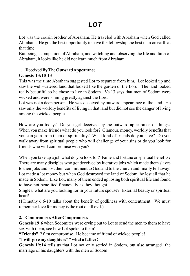Lot was the cousin brother of Abraham. He traveled with Abraham when God called Abraham. He got the best opportunity to have the fellowship the best man on earth at that time.

But being a companion of Abraham, and watching and observing the life and faith of Abraham, it looks like he did not learn much from Abraham.

## **1. Deceived By The Outward Appearance**

#### **Genesis 13:10-13**

This was the time Abraham suggested Lot to separate from him. Lot looked up and saw the well-watered land that looked like the garden of the Lord! The land looked really beautiful so he chose to live in Sodom. Vs.13 says that men of Sodom were wicked and were sinning greatly against the Lord.

Lot was not a deep person. He was deceived by outward appearance of the land. He saw only the worldly benefits of living in that land but did not see the danger of living among the wicked people.

How are you today? Do you get deceived by the outward appearance of things? When you make friends what do you look for? Glamour, money, worldly benefits that you can gain from them or spirituality? What kind of friends do you have? Do you walk away from spiritual people who will challenge of your sins or do you look for friends who will compromise with you?

When you take up a job what do you look for? Fame and fortune or spiritual benefits? There are many disciples who got deceived by lucrative jobs which made them slaves to their jobs and lost their commitment to God and to the church and finally fell away! Lot made a lot money but when God destroyed the land of Sodom, he lost all that he made in Sodom. Like Lot, many of them ended up losing both spiritual life and found to have not benefited financially as they thought.

Singles: what are you looking for in your future spouse? External beauty or spiritual heart!

(1Timothy 6:6-10 talks about the benefit of godliness with contentment. We must remember love for money is the root of all evil.)

#### **2. Compromises After Compromises**

**Genesis 19:6** when Sodomites were crying out to Lot to send the men to them to have sex with them, see how Lot spoke to them!

**"Friends"** ? first compromise. He became of friend of wicked people!

#### **"I will give my daughters"** ? **what a father!**

**Genesis 19:14** tells us that Lot not only settled in Sodom, but also arranged the marriage of his daughters with the men of Sodom!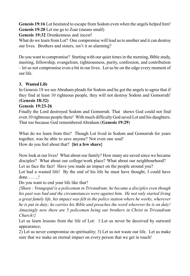**Genesis 19:16** Lot hesitated to escape from Sodom even when the angels helped him! **Genesis 19:20** Let me go to Zoar (means small)

**Genesis 19:32** Drunkenness and incest!

What do we learn from Lot? One compromise will lead us to another and it can destroy our lives. Brothers and sisters, isn't it so alarming?

Do you want to compromise? Starting with our quiet times in the morning, Bible study, meeting, fellowship, evangelism, righteousness, purity, confession, and contribution – let us not compromise even a bit in our lives. Let us be on the edge every moment of our life.

### **3. Wasted Life**

In Genesis 18 we see Abraham pleads for Sodom and he got the angels to agree that if they find at least 10 righteous people, they will not destroy Sodom and Gomorrah! (**Genesis 18:32)**

#### **Genesis 19:23-26**

Finally the Lord destroyed Sodom and Gomorrah. That shows God could not find even 10 righteous people there! With much difficulty God saved Lot and his daughters. That too because God remembered Abraham (**Genesis 19:29**)

What do we learn from this? Though Lot lived in Sodom and Gomorrah for years together, was he able to save anyone? Not even one soul! How do you feel about that? **{let a few share}**

Now look at our lives! What about our family? How many are saved since we became disciples? What about our college/work place? What about our neighbourhood? Let us face the fact! Have you made an impact on the people around you?

Lot had a wasted life! By the end of his life he must have thought, I could have done……..!

Do you want to end your life like that?

*{Share : Venugopal is a policeman in Trivandrum; he became a disciples even though his past was bad and the circumstances were against him. He not only started living a great family life, his impact was felt in the police station where he works, wherever he is put in duty; he carries his Bible and preaches the word wherever he is on duty! Amazingly now there are 5 policemen being our brothers in Christ in Trivandrum Church!}*

Let us learn lessons from the life of Lot: 1:Let us never be deceived by outward appearance;

2) Let us never compromise on spirituality; 3) Let us not waste our life. Let us make sure that we make an eternal impact on every person that we get in touch!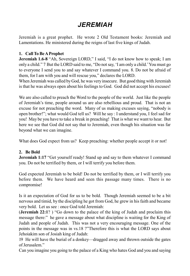# *JEREMIAH*

Jeremiah is a great prophet. He wrote 2 Old Testament books: Jeremiah and Lamentations. He ministered during the reigns of last five kings of Judah.

#### **1. Call To Be A Prophet**

**Jeremiah 1.6-8** "Ah, Sovereign LORD," I said, "I do not know how to speak; I am only a child." 7 But the LORD said to me, "Do not say, 'I am only a child.' You must go to everyone I send you to and say whatever I command you. 8. Do not be afraid of them, for I am with you and will rescue you," declares the LORD.

When Jeremiah was called by God, he was very insecure. But good thing with Jeremiah is that he was always open about his feelings to God. God did not accept his excuses!

We are also called to preach the Word to the people of the world. Just like the people of Jeremiah's time, people around us are also rebellious and proud. That is not an excuse for not preaching the word. Many of us making excuses saying, "nobody is open brother!"; what would God tell us? Will he say : I understand you, I feel sad for you! May be you have to take a break in preaching! That is what we want to hear. But here we see that God did not say that to Jeremiah, even though his situation was far beyond what we can imagine.

What does God expect from us? Keep preaching: whether people accept it or not!

#### **2. Be Bold**

**Jeremiah 1:17** "Get yourself ready! Stand up and say to them whatever I command you. Do not be terrified by them, or I will terrify you before them.

God expected Jeremiah to be bold! Do not be terrified by them, or I will terrify you before them. We have heard and seen this passage many times. There is no compromise!

Is it an expectation of God for us to be bold. Though Jeremiah seemed to be a bit nervous and timid, by the discipling he got from God, he grew in his faith and became very bold. Let us see : once God told Jeremiah:

(**Jeremiah 22:1**? ) "Go down to the palace of the king of Judah and proclaim this message there:" he gave a message about what discipline is waiting for the King of Judah and people of Judah. This was not a very encouraging message. One of the points in the message was in vs.18 ?"Therefore this is what the LORD says about Jehoiakim son of Josiah king of Judah:

19 He will have the burial of a donkey—dragged away and thrown outside the gates of Jerusalem."

Can you imagine you going to the palace of a King who hates God and you and saying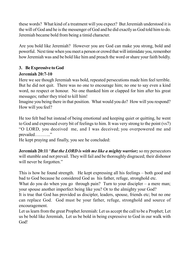these words? What kind of a treatment will you expect? But Jeremiah understood it is the will of God and he is the messenger of God and he did exactly as God told him to do. Jeremiah became bold from being a timid character.

Are you bold like Jeremiah? However you are God can make you strong, bold and powerful. Next time when you meet a person or crowd that will intimidate you, remember how Jeremiah was and be bold like him and preach the word or share your faith boldly.

# **3. Be Expressive to God**

## **Jeremiah 20:7-10**

Here we see though Jeremiah was bold, repeated persecutions made him feel terrible. But he did not quit. There was no one to encourage him; no one to say even a kind word, no respect or honour. No one thanked him or clapped for him after his great messages; rather they tried to kill him!

Imagine you being there in that position. What would you do? How will you respond? How will you feel?

He too felt bad but instead of being emotional and keeping quiet or quitting, he went to God and expressed every bit of feelings to him. It was very strong to the point (vs7) "O LORD, you deceived me, and I was deceived; you overpowered me and prevailed……….."

He kept praying and finally, you see he concluded:

**Jeremiah 20:11** "*But the LORD is with me like a mighty warrior;* so my persecutors will stumble and not prevail. They will fail and be thoroughly disgraced; their dishonor will never be forgotten."

This is how he found strength. He kept expressing all his feelings – both good and bad to God because he considered God as his father, refuge, stronghold etc.

What do you do when you go through pain? Turn to your discipler – a mere man; your spouse another imperfect being like you? Or to the almighty your God?

It is true that God has provided us discipler, leaders, spouse, friends etc; but no one can replace God. God must be your father, refuge, stronghold and source of encouragement.

Let us learn from the great Prophet Jeremiah: Let us accept the call to be a Prophet; Let us be bold like Jeremiah, Let us be bold in being expressive to God in our walk with God!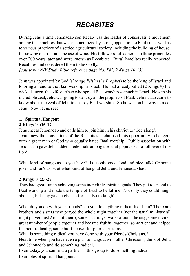# *RECABITES*

During Jehu's time Jehonadab son Recab was the leader of conservative movement among the Israelites that was characterized by strong opposition to Baalism as well as to various practices of a settled agricultrural society, including the building of house, the sowing of crops and the use of wine. His followers still adhered to these principles over 200 years later and were known as Recabites. Rural Israelites really respected Recabites and considered them to be Godly.

*{courtesy : NIV Study Bible reference page No. 541, 2 Kings 10:15}*

Jehu was appointed by God (*through Elisha the Prophet*) to be the king of Israel and to bring an end to the Baal worship in Israel. He had already killed (2 Kings 9) the wicked queen, the wife of Ahab who spread Baal worship so much in Israel. Now in his incredible zeal, Jehu was going to destroy all the prophets of Baal. Jehonadab came to know about the zeal of Jehu to destroy Baal worship. So he was on his way to meet Jehu. Now let us see:

#### **1. Spiritual Hangout**

#### **2 Kings 10:15-17**

Jehu meets Jehonadab and calls him to join him in his chariot to 'ride along'. Jehu knew the convictions of the Recabites. Jehu used this opportunity to hangout with a great man of God who equally hated Baal worship. Public association with Jehonadab gave Jehu added credentials among the rural populace as a follower of the Lord.

What kind of hangouts do you have? Is it only good food and nice talk? Or some jokes and fun? Look at what kind of hangout Jehu and Jehonadab had:

#### **2 Kings 10:23-27**

They had great fun in achieving some incredible spiritual goals. They put to an end to Baal worship and made the temple of Baal to be latrine! Not only they could laugh about it, but they gave a chance for us also to laugh!

What do you do with your friends? do you do anything radical like Jehu? There are brothers and sisters who prayed the whole night together (not the usual ministry all night prayer; just 2 or 3 of them); some had prayer walks around the city; some invited great number of people together and became fruitful together; some went and helped the poor radically; some built houses for poor Christians.

What is something radical you have done with your friends(Christans)?

Next time when you have even a plan to hangout with other Christians, think of Jehu and Jehonadab and do something radical.

Even today, you can find a partner in this group to do something radical.

Examples of spiritual hangouts: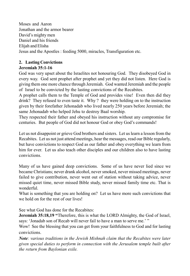Moses and Aaron Jonathan and the armor bearer David's mighty men Daniel and his friends Elijah and Elisha Jesus and the Apostles : feeding 5000, miracles, Transfiguration etc.

# **2. Lasting Convictions**

### **Jeremiah 35:1-16**

God was very upset about the Israelites not honouring God. They disobeyed God in every way. God sent prophet after prophet and yet they did not listen. Here God is giving them one more chance through Jeremiah. God wanted Jeremiah and the people of Israel to be convicted by the lasting convictions of the Recabites.

A prophet calls them to the Temple of God and provides vine! Even then did they drink? They refused to even taste it. Why ? they were holding on to the instruction given by their forefather Jehonadab who lived nearly 250 years before Jeremiah; the same Jehonadab who helped Jehu to destroy Baal worship.

They respected their father and obeyed his instruction without any compromise for centuries. But people of God did not honour God or obey God's commands!

Let us not disappoint or grieve God brothers and sisters. Let us learn a lesson from the Recabites. Let us not just attend meetings, hear the messages, read our Bible regularly, but have convictions to respect God as our father and obey everything we learn from him for ever. Let us also teach other disciples and our children also to have lasting convictions.

Many of us have gained deep convictions. Some of us have never lied since we became Christians; never drank alcohol, never smoked, never missed meetings, never failed to give contribution, never went out of station without taking advice, never missed quiet time, never missed Bible study, never missed family time etc. That is wonderful.

What is something that you are holding on? Let us have more such convictions that we hold on for the rest of our lives!

See what God has done for the Recabites:

**Jeremiah 35:18,19 "**Therefore, this is what the LORD Almighty, the God of Israel, says: 'Jonadab son of Recab will never fail to have a man to serve me.'"

Wow! See the blessing that you can get from your faithfulness to God and for lasting convictions.

*Note: various traditions in the Jewish Mishnah claim that the Recabites were later given special duties to perform in connection with the Jerusalem temple built after the return from Baylonian exile.*